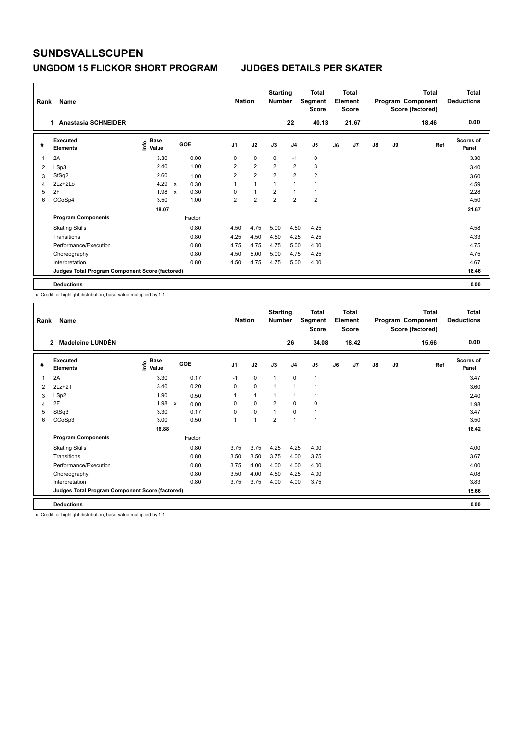### **UNGDOM 15 FLICKOR SHORT PROGRAM JUDGES DETAILS PER SKATER**

| Rank | Name                                            |                              |                           |            | <b>Nation</b>  |                | <b>Starting</b><br><b>Number</b> |                | Total<br>Segment<br><b>Score</b> |    | <b>Total</b><br>Element<br><b>Score</b> |               |           | Total<br>Program Component<br>Score (factored) | Total<br><b>Deductions</b> |
|------|-------------------------------------------------|------------------------------|---------------------------|------------|----------------|----------------|----------------------------------|----------------|----------------------------------|----|-----------------------------------------|---------------|-----------|------------------------------------------------|----------------------------|
|      | <b>Anastasia SCHNEIDER</b><br>1.                |                              |                           |            |                |                |                                  | 22             | 40.13                            |    | 21.67                                   |               |           | 18.46                                          | 0.00                       |
| #    | <b>Executed</b><br><b>Elements</b>              | <b>Base</b><br>١nfo<br>Value |                           | <b>GOE</b> | J <sub>1</sub> | J2             | J3                               | J <sub>4</sub> | J5                               | J6 | J7                                      | $\mathsf{J}8$ | <b>J9</b> | Ref                                            | <b>Scores of</b><br>Panel  |
|      | 2A                                              | 3.30                         |                           | 0.00       | 0              | $\mathbf 0$    | $\mathbf 0$                      | $-1$           | $\mathbf 0$                      |    |                                         |               |           |                                                | 3.30                       |
| 2    | LSp3                                            | 2.40                         |                           | 1.00       | $\overline{2}$ | $\overline{2}$ | $\overline{2}$                   | $\overline{2}$ | 3                                |    |                                         |               |           |                                                | 3.40                       |
| 3    | StSq2                                           | 2.60                         |                           | 1.00       | $\overline{2}$ | $\overline{2}$ | $\overline{2}$                   | $\overline{2}$ | $\overline{2}$                   |    |                                         |               |           |                                                | 3.60                       |
| 4    | $2Lz+2Lo$                                       | 4.29                         | X                         | 0.30       | 1              | 1              | 1                                | 1              |                                  |    |                                         |               |           |                                                | 4.59                       |
| 5    | 2F                                              | 1.98                         | $\boldsymbol{\mathsf{x}}$ | 0.30       | 0              | $\overline{1}$ | $\overline{2}$                   | $\overline{1}$ |                                  |    |                                         |               |           |                                                | 2.28                       |
| 6    | CCoSp4                                          | 3.50                         |                           | 1.00       | $\overline{2}$ | $\overline{2}$ | $\overline{2}$                   | $\overline{2}$ | $\overline{2}$                   |    |                                         |               |           |                                                | 4.50                       |
|      |                                                 | 18.07                        |                           |            |                |                |                                  |                |                                  |    |                                         |               |           |                                                | 21.67                      |
|      | <b>Program Components</b>                       |                              |                           | Factor     |                |                |                                  |                |                                  |    |                                         |               |           |                                                |                            |
|      | <b>Skating Skills</b>                           |                              |                           | 0.80       | 4.50           | 4.75           | 5.00                             | 4.50           | 4.25                             |    |                                         |               |           |                                                | 4.58                       |
|      | Transitions                                     |                              |                           | 0.80       | 4.25           | 4.50           | 4.50                             | 4.25           | 4.25                             |    |                                         |               |           |                                                | 4.33                       |
|      | Performance/Execution                           |                              |                           | 0.80       | 4.75           | 4.75           | 4.75                             | 5.00           | 4.00                             |    |                                         |               |           |                                                | 4.75                       |
|      | Choreography                                    |                              |                           | 0.80       | 4.50           | 5.00           | 5.00                             | 4.75           | 4.25                             |    |                                         |               |           |                                                | 4.75                       |
|      | Interpretation                                  |                              |                           | 0.80       | 4.50           | 4.75           | 4.75                             | 5.00           | 4.00                             |    |                                         |               |           |                                                | 4.67                       |
|      | Judges Total Program Component Score (factored) |                              |                           |            |                |                |                                  |                |                                  |    |                                         |               |           |                                                | 18.46                      |
|      | <b>Deductions</b>                               |                              |                           |            |                |                |                                  |                |                                  |    |                                         |               |           |                                                | 0.00                       |

x Credit for highlight distribution, base value multiplied by 1.1

| Rank | Name                                            |                       |                      | <b>Nation</b>  |              | <b>Starting</b><br><b>Number</b> |                | <b>Total</b><br>Segment<br><b>Score</b> |    | <b>Total</b><br>Element<br><b>Score</b> |               |    | <b>Total</b><br>Program Component<br>Score (factored) | Total<br><b>Deductions</b> |
|------|-------------------------------------------------|-----------------------|----------------------|----------------|--------------|----------------------------------|----------------|-----------------------------------------|----|-----------------------------------------|---------------|----|-------------------------------------------------------|----------------------------|
|      | Madeleine LUNDÉN<br>$\overline{2}$              |                       |                      |                |              |                                  | 26             | 34.08                                   |    | 18.42                                   |               |    | 15.66                                                 | 0.00                       |
| #    | <b>Executed</b><br><b>Elements</b>              | $\sum_{i=1}^{n}$ Base | GOE                  | J <sub>1</sub> | J2           | J3                               | J <sub>4</sub> | J5                                      | J6 | J7                                      | $\mathsf{J}8$ | J9 | Ref                                                   | Scores of<br>Panel         |
| 1    | 2A                                              | 3.30                  | 0.17                 | $-1$           | $\mathbf 0$  | $\mathbf{1}$                     | $\mathbf 0$    | $\mathbf{1}$                            |    |                                         |               |    |                                                       | 3.47                       |
| 2    | $2Lz+2T$                                        | 3.40                  | 0.20                 | 0              | $\mathbf 0$  | 1                                | 1              | 1                                       |    |                                         |               |    |                                                       | 3.60                       |
| 3    | LSp2                                            | 1.90                  | 0.50                 |                | $\mathbf{1}$ | 1                                | 1              | 1                                       |    |                                         |               |    |                                                       | 2.40                       |
| 4    | 2F                                              | 1.98                  | $\mathsf{x}$<br>0.00 | 0              | 0            | $\overline{2}$                   | 0              | 0                                       |    |                                         |               |    |                                                       | 1.98                       |
| 5    | StSq3                                           | 3.30                  | 0.17                 | 0              | 0            | 1                                | $\mathbf 0$    | 1                                       |    |                                         |               |    |                                                       | 3.47                       |
| 6    | CCoSp3                                          | 3.00                  | 0.50                 | 1              | 1            | $\overline{2}$                   | $\mathbf{1}$   | 1                                       |    |                                         |               |    |                                                       | 3.50                       |
|      |                                                 | 16.88                 |                      |                |              |                                  |                |                                         |    |                                         |               |    |                                                       | 18.42                      |
|      | <b>Program Components</b>                       |                       | Factor               |                |              |                                  |                |                                         |    |                                         |               |    |                                                       |                            |
|      | <b>Skating Skills</b>                           |                       | 0.80                 | 3.75           | 3.75         | 4.25                             | 4.25           | 4.00                                    |    |                                         |               |    |                                                       | 4.00                       |
|      | Transitions                                     |                       | 0.80                 | 3.50           | 3.50         | 3.75                             | 4.00           | 3.75                                    |    |                                         |               |    |                                                       | 3.67                       |
|      | Performance/Execution                           |                       | 0.80                 | 3.75           | 4.00         | 4.00                             | 4.00           | 4.00                                    |    |                                         |               |    |                                                       | 4.00                       |
|      | Choreography                                    |                       | 0.80                 | 3.50           | 4.00         | 4.50                             | 4.25           | 4.00                                    |    |                                         |               |    |                                                       | 4.08                       |
|      | Interpretation                                  |                       | 0.80                 | 3.75           | 3.75         | 4.00                             | 4.00           | 3.75                                    |    |                                         |               |    |                                                       | 3.83                       |
|      | Judges Total Program Component Score (factored) |                       |                      |                |              |                                  |                |                                         |    |                                         |               |    |                                                       | 15.66                      |
|      | <b>Deductions</b>                               |                       |                      |                |              |                                  |                |                                         |    |                                         |               |    |                                                       | 0.00                       |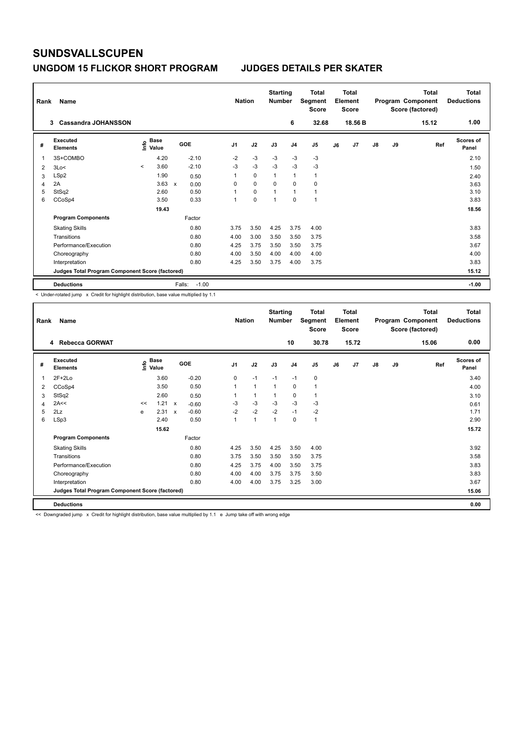### **UNGDOM 15 FLICKOR SHORT PROGRAM JUDGES DETAILS PER SKATER**

| Rank | Name                                            |                                  |                   | <b>Nation</b>  |             | <b>Starting</b><br><b>Number</b> |                | <b>Total</b><br>Segment<br><b>Score</b> |    | <b>Total</b><br>Element<br><b>Score</b> |               |    | <b>Total</b><br>Program Component<br>Score (factored) | Total<br><b>Deductions</b> |
|------|-------------------------------------------------|----------------------------------|-------------------|----------------|-------------|----------------------------------|----------------|-----------------------------------------|----|-----------------------------------------|---------------|----|-------------------------------------------------------|----------------------------|
|      | <b>Cassandra JOHANSSON</b><br>3                 |                                  |                   |                |             |                                  | 6              | 32.68                                   |    | 18.56 B                                 |               |    | 15.12                                                 | 1.00                       |
| #    | <b>Executed</b><br><b>Elements</b>              | <b>Base</b><br>e Base<br>⊆ Value | GOE               | J <sub>1</sub> | J2          | J3                               | J <sub>4</sub> | J5                                      | J6 | J7                                      | $\mathsf{J}8$ | J9 | Ref                                                   | <b>Scores of</b><br>Panel  |
| 1    | 3S+COMBO                                        | 4.20                             | $-2.10$           | $-2$           | $-3$        | $-3$                             | $-3$           | $-3$                                    |    |                                         |               |    |                                                       | 2.10                       |
| 2    | 3Lo<                                            | 3.60<br>$\prec$                  | $-2.10$           | $-3$           | $-3$        | $-3$                             | $-3$           | $-3$                                    |    |                                         |               |    |                                                       | 1.50                       |
| 3    | LSp2                                            | 1.90                             | 0.50              | 1              | $\Omega$    | $\overline{1}$                   | $\mathbf{1}$   | $\mathbf{1}$                            |    |                                         |               |    |                                                       | 2.40                       |
| 4    | 2A                                              | 3.63                             | 0.00<br>X         | 0              | $\mathbf 0$ | $\mathbf 0$                      | $\mathbf 0$    | $\mathbf 0$                             |    |                                         |               |    |                                                       | 3.63                       |
| 5    | StSq2                                           | 2.60                             | 0.50              | 1              | 0           | 1                                | $\overline{1}$ | $\mathbf{1}$                            |    |                                         |               |    |                                                       | 3.10                       |
| 6    | CCoSp4                                          | 3.50                             | 0.33              | 1              | 0           | 1                                | 0              | $\mathbf{1}$                            |    |                                         |               |    |                                                       | 3.83                       |
|      |                                                 | 19.43                            |                   |                |             |                                  |                |                                         |    |                                         |               |    |                                                       | 18.56                      |
|      | <b>Program Components</b>                       |                                  | Factor            |                |             |                                  |                |                                         |    |                                         |               |    |                                                       |                            |
|      | <b>Skating Skills</b>                           |                                  | 0.80              | 3.75           | 3.50        | 4.25                             | 3.75           | 4.00                                    |    |                                         |               |    |                                                       | 3.83                       |
|      | Transitions                                     |                                  | 0.80              | 4.00           | 3.00        | 3.50                             | 3.50           | 3.75                                    |    |                                         |               |    |                                                       | 3.58                       |
|      | Performance/Execution                           |                                  | 0.80              | 4.25           | 3.75        | 3.50                             | 3.50           | 3.75                                    |    |                                         |               |    |                                                       | 3.67                       |
|      | Choreography                                    |                                  | 0.80              | 4.00           | 3.50        | 4.00                             | 4.00           | 4.00                                    |    |                                         |               |    |                                                       | 4.00                       |
|      | Interpretation                                  |                                  | 0.80              | 4.25           | 3.50        | 3.75                             | 4.00           | 3.75                                    |    |                                         |               |    |                                                       | 3.83                       |
|      | Judges Total Program Component Score (factored) |                                  |                   |                |             |                                  |                |                                         |    |                                         |               |    |                                                       | 15.12                      |
|      | <b>Deductions</b>                               |                                  | $-1.00$<br>Falls: |                |             |                                  |                |                                         |    |                                         |               |    |                                                       | $-1.00$                    |

< Under-rotated jump x Credit for highlight distribution, base value multiplied by 1.1

| Rank | Name                                            |                     |               |         |                | <b>Nation</b> | <b>Starting</b><br><b>Number</b> |                | <b>Total</b><br>Segment<br><b>Score</b> |    | <b>Total</b><br>Element<br><b>Score</b> |    |    | <b>Total</b><br>Program Component<br>Score (factored) | Total<br><b>Deductions</b> |
|------|-------------------------------------------------|---------------------|---------------|---------|----------------|---------------|----------------------------------|----------------|-----------------------------------------|----|-----------------------------------------|----|----|-------------------------------------------------------|----------------------------|
|      | 4 Rebecca GORWAT                                |                     |               |         |                |               |                                  | 10             | 30.78                                   |    | 15.72                                   |    |    | 15.06                                                 | 0.00                       |
| #    | <b>Executed</b><br><b>Elements</b>              | $E$ Base<br>$E$ $V$ |               | GOE     | J <sub>1</sub> | J2            | J3                               | J <sub>4</sub> | J <sub>5</sub>                          | J6 | J7                                      | J8 | J9 | Ref                                                   | <b>Scores of</b><br>Panel  |
| 1    | $2F+2Lo$                                        |                     | 3.60          | $-0.20$ | 0              | $-1$          | $-1$                             | $-1$           | 0                                       |    |                                         |    |    |                                                       | 3.40                       |
| 2    | CCoSp4                                          |                     | 3.50          | 0.50    | 1              | $\mathbf{1}$  | $\mathbf{1}$                     | 0              | $\mathbf{1}$                            |    |                                         |    |    |                                                       | 4.00                       |
| 3    | StSq2                                           |                     | 2.60          | 0.50    | 1              | 1             | 1                                | 0              | 1                                       |    |                                         |    |    |                                                       | 3.10                       |
| 4    | 2A<<                                            | <<                  | 1.21 x        | $-0.60$ | $-3$           | $-3$          | $-3$                             | $-3$           | $-3$                                    |    |                                         |    |    |                                                       | 0.61                       |
| 5    | 2Lz                                             | e                   | $2.31 \times$ | $-0.60$ | $-2$           | $-2$          | $-2$                             | $-1$           | $-2$                                    |    |                                         |    |    |                                                       | 1.71                       |
| 6    | LSp3                                            |                     | 2.40          | 0.50    | 1              | $\mathbf{1}$  | $\mathbf{1}$                     | $\mathbf 0$    | $\mathbf{1}$                            |    |                                         |    |    |                                                       | 2.90                       |
|      |                                                 |                     | 15.62         |         |                |               |                                  |                |                                         |    |                                         |    |    |                                                       | 15.72                      |
|      | <b>Program Components</b>                       |                     |               | Factor  |                |               |                                  |                |                                         |    |                                         |    |    |                                                       |                            |
|      | <b>Skating Skills</b>                           |                     |               | 0.80    | 4.25           | 3.50          | 4.25                             | 3.50           | 4.00                                    |    |                                         |    |    |                                                       | 3.92                       |
|      | Transitions                                     |                     |               | 0.80    | 3.75           | 3.50          | 3.50                             | 3.50           | 3.75                                    |    |                                         |    |    |                                                       | 3.58                       |
|      | Performance/Execution                           |                     |               | 0.80    | 4.25           | 3.75          | 4.00                             | 3.50           | 3.75                                    |    |                                         |    |    |                                                       | 3.83                       |
|      | Choreography                                    |                     |               | 0.80    | 4.00           | 4.00          | 3.75                             | 3.75           | 3.50                                    |    |                                         |    |    |                                                       | 3.83                       |
|      | Interpretation                                  |                     |               | 0.80    | 4.00           | 4.00          | 3.75                             | 3.25           | 3.00                                    |    |                                         |    |    |                                                       | 3.67                       |
|      | Judges Total Program Component Score (factored) |                     |               |         |                |               |                                  |                |                                         |    |                                         |    |    |                                                       | 15.06                      |
|      | <b>Deductions</b>                               |                     |               |         |                |               |                                  |                |                                         |    |                                         |    |    |                                                       | 0.00                       |

<< Downgraded jump x Credit for highlight distribution, base value multiplied by 1.1 e Jump take off with wrong edge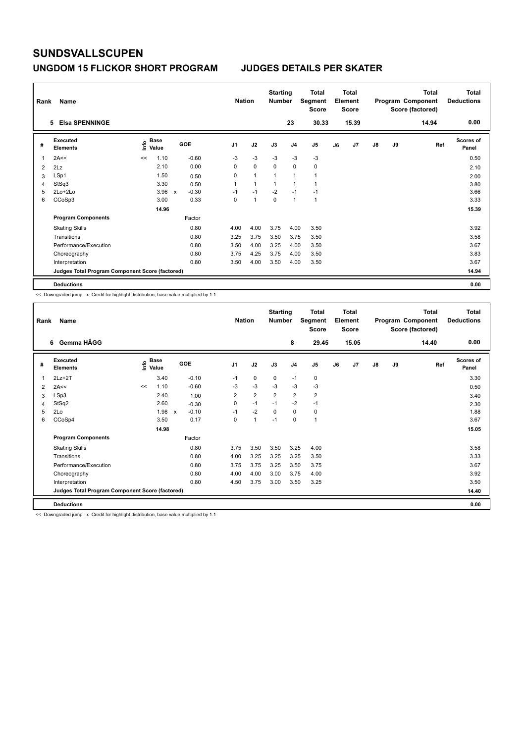### **UNGDOM 15 FLICKOR SHORT PROGRAM JUDGES DETAILS PER SKATER**

| Rank           | Name                                            |      |                      |              |         |      | <b>Nation</b> | <b>Starting</b><br><b>Number</b> |                | <b>Total</b><br>Segment<br><b>Score</b> |    | <b>Total</b><br>Element<br><b>Score</b> |               |    | Total<br>Program Component<br>Score (factored) | <b>Total</b><br><b>Deductions</b> |
|----------------|-------------------------------------------------|------|----------------------|--------------|---------|------|---------------|----------------------------------|----------------|-----------------------------------------|----|-----------------------------------------|---------------|----|------------------------------------------------|-----------------------------------|
|                | <b>Elsa SPENNINGE</b><br>5                      |      |                      |              |         |      |               |                                  | 23             | 30.33                                   |    | 15.39                                   |               |    | 14.94                                          | 0.00                              |
| #              | Executed<br><b>Elements</b>                     | lnfo | <b>Base</b><br>Value |              | GOE     | J1   | J2            | J3                               | J <sub>4</sub> | J <sub>5</sub>                          | J6 | J7                                      | $\mathsf{J}8$ | J9 | Ref                                            | <b>Scores of</b><br>Panel         |
| 1              | 2A<<                                            | <<   | 1.10                 |              | $-0.60$ | $-3$ | $-3$          | $-3$                             | $-3$           | $-3$                                    |    |                                         |               |    |                                                | 0.50                              |
| $\overline{2}$ | 2Lz                                             |      | 2.10                 |              | 0.00    | 0    | $\mathbf 0$   | $\mathbf 0$                      | $\mathbf 0$    | $\pmb{0}$                               |    |                                         |               |    |                                                | 2.10                              |
| 3              | LSp1                                            |      | 1.50                 |              | 0.50    | 0    | $\mathbf{1}$  | 1                                | 1              | $\mathbf{1}$                            |    |                                         |               |    |                                                | 2.00                              |
| 4              | StSq3                                           |      | 3.30                 |              | 0.50    | 1    | $\mathbf{1}$  | $\mathbf{1}$                     | -1             | $\overline{1}$                          |    |                                         |               |    |                                                | 3.80                              |
| 5              | 2Lo+2Lo                                         |      | 3.96                 | $\mathbf{x}$ | $-0.30$ | $-1$ | $-1$          | $-2$                             | $-1$           | $-1$                                    |    |                                         |               |    |                                                | 3.66                              |
| 6              | CCoSp3                                          |      | 3.00                 |              | 0.33    | 0    | 1             | $\mathbf 0$                      | 1              | $\overline{1}$                          |    |                                         |               |    |                                                | 3.33                              |
|                |                                                 |      | 14.96                |              |         |      |               |                                  |                |                                         |    |                                         |               |    |                                                | 15.39                             |
|                | <b>Program Components</b>                       |      |                      |              | Factor  |      |               |                                  |                |                                         |    |                                         |               |    |                                                |                                   |
|                | <b>Skating Skills</b>                           |      |                      |              | 0.80    | 4.00 | 4.00          | 3.75                             | 4.00           | 3.50                                    |    |                                         |               |    |                                                | 3.92                              |
|                | Transitions                                     |      |                      |              | 0.80    | 3.25 | 3.75          | 3.50                             | 3.75           | 3.50                                    |    |                                         |               |    |                                                | 3.58                              |
|                | Performance/Execution                           |      |                      |              | 0.80    | 3.50 | 4.00          | 3.25                             | 4.00           | 3.50                                    |    |                                         |               |    |                                                | 3.67                              |
|                | Choreography                                    |      |                      |              | 0.80    | 3.75 | 4.25          | 3.75                             | 4.00           | 3.50                                    |    |                                         |               |    |                                                | 3.83                              |
|                | Interpretation                                  |      |                      |              | 0.80    | 3.50 | 4.00          | 3.50                             | 4.00           | 3.50                                    |    |                                         |               |    |                                                | 3.67                              |
|                | Judges Total Program Component Score (factored) |      |                      |              |         |      |               |                                  |                |                                         |    |                                         |               |    |                                                | 14.94                             |
|                | <b>Deductions</b>                               |      |                      |              |         |      |               |                                  |                |                                         |    |                                         |               |    |                                                | 0.00                              |

<< Downgraded jump x Credit for highlight distribution, base value multiplied by 1.1

| Rank | Name                                            |    |                                  |              |         |                | <b>Nation</b>  | <b>Starting</b><br><b>Number</b> |                | <b>Total</b><br>Segment<br><b>Score</b> |    | Total<br>Element<br><b>Score</b> |               |    | <b>Total</b><br>Program Component<br>Score (factored) | <b>Total</b><br><b>Deductions</b> |
|------|-------------------------------------------------|----|----------------------------------|--------------|---------|----------------|----------------|----------------------------------|----------------|-----------------------------------------|----|----------------------------------|---------------|----|-------------------------------------------------------|-----------------------------------|
|      | Gemma HÄGG<br>6                                 |    |                                  |              |         |                |                |                                  | 8              | 29.45                                   |    | 15.05                            |               |    | 14.40                                                 | 0.00                              |
| #    | Executed<br><b>Elements</b>                     |    | <b>Base</b><br>e Base<br>E Value | <b>GOE</b>   |         | J <sub>1</sub> | J2             | J3                               | J <sub>4</sub> | J5                                      | J6 | J7                               | $\mathsf{J}8$ | J9 | Ref                                                   | Scores of<br>Panel                |
| 1    | $2Lz+2T$                                        |    | 3.40                             |              | $-0.10$ | $-1$           | $\mathbf 0$    | 0                                | $-1$           | 0                                       |    |                                  |               |    |                                                       | 3.30                              |
| 2    | 2A<<                                            | << | 1.10                             |              | $-0.60$ | $-3$           | $-3$           | $-3$                             | $-3$           | $-3$                                    |    |                                  |               |    |                                                       | 0.50                              |
| 3    | LSp3                                            |    | 2.40                             |              | 1.00    | $\overline{2}$ | $\overline{2}$ | $\overline{2}$                   | $\overline{2}$ | $\overline{\mathbf{c}}$                 |    |                                  |               |    |                                                       | 3.40                              |
| 4    | StSq2                                           |    | 2.60                             |              | $-0.30$ | 0              | $-1$           | $-1$                             | $-2$           | $-1$                                    |    |                                  |               |    |                                                       | 2.30                              |
| 5    | 2Lo                                             |    | 1.98                             | $\mathsf{x}$ | $-0.10$ | $-1$           | $-2$           | $\mathbf 0$                      | 0              | 0                                       |    |                                  |               |    |                                                       | 1.88                              |
| 6    | CCoSp4                                          |    | 3.50                             |              | 0.17    | 0              | $\mathbf{1}$   | $-1$                             | 0              | $\mathbf{1}$                            |    |                                  |               |    |                                                       | 3.67                              |
|      |                                                 |    | 14.98                            |              |         |                |                |                                  |                |                                         |    |                                  |               |    |                                                       | 15.05                             |
|      | <b>Program Components</b>                       |    |                                  |              | Factor  |                |                |                                  |                |                                         |    |                                  |               |    |                                                       |                                   |
|      | <b>Skating Skills</b>                           |    |                                  |              | 0.80    | 3.75           | 3.50           | 3.50                             | 3.25           | 4.00                                    |    |                                  |               |    |                                                       | 3.58                              |
|      | Transitions                                     |    |                                  |              | 0.80    | 4.00           | 3.25           | 3.25                             | 3.25           | 3.50                                    |    |                                  |               |    |                                                       | 3.33                              |
|      | Performance/Execution                           |    |                                  |              | 0.80    | 3.75           | 3.75           | 3.25                             | 3.50           | 3.75                                    |    |                                  |               |    |                                                       | 3.67                              |
|      | Choreography                                    |    |                                  |              | 0.80    | 4.00           | 4.00           | 3.00                             | 3.75           | 4.00                                    |    |                                  |               |    |                                                       | 3.92                              |
|      | Interpretation                                  |    |                                  |              | 0.80    | 4.50           | 3.75           | 3.00                             | 3.50           | 3.25                                    |    |                                  |               |    |                                                       | 3.50                              |
|      | Judges Total Program Component Score (factored) |    |                                  |              |         |                |                |                                  |                |                                         |    |                                  |               |    |                                                       | 14.40                             |
|      | <b>Deductions</b>                               |    |                                  |              |         |                |                |                                  |                |                                         |    |                                  |               |    |                                                       | 0.00                              |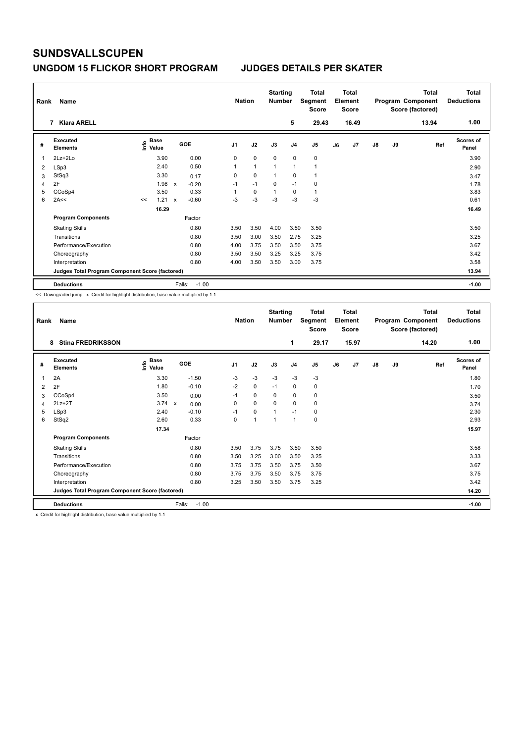## **UNGDOM 15 FLICKOR SHORT PROGRAM JUDGES DETAILS PER SKATER**

| Rank | Name<br><b>Klara ARELL</b><br>7                 |    |                                  |                           |         | <b>Nation</b>  |              | <b>Starting</b><br><b>Number</b> | 5              | <b>Total</b><br>Segment<br><b>Score</b><br>29.43 |    | Total<br>Element<br><b>Score</b><br>16.49 |               |           | <b>Total</b><br>Program Component<br>Score (factored)<br>13.94 | Total<br><b>Deductions</b><br>1.00 |
|------|-------------------------------------------------|----|----------------------------------|---------------------------|---------|----------------|--------------|----------------------------------|----------------|--------------------------------------------------|----|-------------------------------------------|---------------|-----------|----------------------------------------------------------------|------------------------------------|
|      |                                                 |    |                                  |                           |         |                |              |                                  |                |                                                  |    |                                           |               |           |                                                                |                                    |
| #    | <b>Executed</b><br><b>Elements</b>              |    | <b>Base</b><br>e Base<br>⊆ Value |                           | GOE     | J <sub>1</sub> | J2           | J3                               | J <sub>4</sub> | J <sub>5</sub>                                   | J6 | J7                                        | $\mathsf{J}8$ | <b>J9</b> | Ref                                                            | Scores of<br>Panel                 |
| 1    | $2Lz+2Lo$                                       |    | 3.90                             |                           | 0.00    | 0              | $\mathbf 0$  | $\mathbf 0$                      | $\mathbf 0$    | $\pmb{0}$                                        |    |                                           |               |           |                                                                | 3.90                               |
| 2    | LSp3                                            |    | 2.40                             |                           | 0.50    | 1              | $\mathbf{1}$ | 1                                | $\overline{1}$ | $\mathbf{1}$                                     |    |                                           |               |           |                                                                | 2.90                               |
| 3    | StSq3                                           |    | 3.30                             |                           | 0.17    | 0              | $\Omega$     | 1                                | $\Omega$       | $\mathbf{1}$                                     |    |                                           |               |           |                                                                | 3.47                               |
| 4    | 2F                                              |    | 1.98                             | $\mathsf{x}$              | $-0.20$ | $-1$           | $-1$         | 0                                | $-1$           | $\mathbf 0$                                      |    |                                           |               |           |                                                                | 1.78                               |
| 5    | CCoSp4                                          |    | 3.50                             |                           | 0.33    | 1              | $\mathbf 0$  | 1                                | $\mathbf 0$    | $\mathbf{1}$                                     |    |                                           |               |           |                                                                | 3.83                               |
| 6    | 2A<<                                            | << | 1.21                             | $\boldsymbol{\mathsf{x}}$ | $-0.60$ | $-3$           | $-3$         | $-3$                             | $-3$           | $-3$                                             |    |                                           |               |           |                                                                | 0.61                               |
|      |                                                 |    | 16.29                            |                           |         |                |              |                                  |                |                                                  |    |                                           |               |           |                                                                | 16.49                              |
|      | <b>Program Components</b>                       |    |                                  |                           | Factor  |                |              |                                  |                |                                                  |    |                                           |               |           |                                                                |                                    |
|      | <b>Skating Skills</b>                           |    |                                  |                           | 0.80    | 3.50           | 3.50         | 4.00                             | 3.50           | 3.50                                             |    |                                           |               |           |                                                                | 3.50                               |
|      | Transitions                                     |    |                                  |                           | 0.80    | 3.50           | 3.00         | 3.50                             | 2.75           | 3.25                                             |    |                                           |               |           |                                                                | 3.25                               |
|      | Performance/Execution                           |    |                                  |                           | 0.80    | 4.00           | 3.75         | 3.50                             | 3.50           | 3.75                                             |    |                                           |               |           |                                                                | 3.67                               |
|      | Choreography                                    |    |                                  |                           | 0.80    | 3.50           | 3.50         | 3.25                             | 3.25           | 3.75                                             |    |                                           |               |           |                                                                | 3.42                               |
|      | Interpretation                                  |    |                                  |                           | 0.80    | 4.00           | 3.50         | 3.50                             | 3.00           | 3.75                                             |    |                                           |               |           |                                                                | 3.58                               |
|      | Judges Total Program Component Score (factored) |    |                                  |                           |         |                |              |                                  |                |                                                  |    |                                           |               |           |                                                                | 13.94                              |
|      | <b>Deductions</b>                               |    |                                  | Falls:                    | $-1.00$ |                |              |                                  |                |                                                  |    |                                           |               |           |                                                                | $-1.00$                            |

<< Downgraded jump x Credit for highlight distribution, base value multiplied by 1.1

| Rank | Name                                            |                            |                   | <b>Nation</b>  |                | <b>Starting</b><br>Number |                | <b>Total</b><br>Segment<br>Score |    | Total<br>Element<br><b>Score</b> |               |    | <b>Total</b><br>Program Component<br>Score (factored) | <b>Total</b><br><b>Deductions</b> |
|------|-------------------------------------------------|----------------------------|-------------------|----------------|----------------|---------------------------|----------------|----------------------------------|----|----------------------------------|---------------|----|-------------------------------------------------------|-----------------------------------|
|      | <b>Stina FREDRIKSSON</b><br>8                   |                            |                   |                |                |                           | 1              | 29.17                            |    | 15.97                            |               |    | 14.20                                                 | 1.00                              |
| #    | Executed<br><b>Elements</b>                     | <b>Base</b><br>١ų<br>Value | GOE               | J <sub>1</sub> | J2             | J3                        | J <sub>4</sub> | J5                               | J6 | J <sub>7</sub>                   | $\mathsf{J}8$ | J9 | Ref                                                   | <b>Scores of</b><br>Panel         |
| 1    | 2A                                              | 3.30                       | $-1.50$           | $-3$           | $-3$           | $-3$                      | $-3$           | $-3$                             |    |                                  |               |    |                                                       | 1.80                              |
| 2    | 2F                                              | 1.80                       | $-0.10$           | $-2$           | $\mathbf 0$    | $-1$                      | 0              | 0                                |    |                                  |               |    |                                                       | 1.70                              |
| 3    | CCoSp4                                          | 3.50                       | 0.00              | $-1$           | 0              | 0                         | 0              | 0                                |    |                                  |               |    |                                                       | 3.50                              |
| 4    | $2Lz+2T$                                        | 3.74 x                     | 0.00              | $\Omega$       | $\mathbf 0$    | $\Omega$                  | $\mathbf 0$    | 0                                |    |                                  |               |    |                                                       | 3.74                              |
| 5    | LSp3                                            | 2.40                       | $-0.10$           | $-1$           | 0              |                           | $-1$           | 0                                |    |                                  |               |    |                                                       | 2.30                              |
| 6    | StSq2                                           | 2.60                       | 0.33              | 0              | $\overline{ }$ | -4                        | 1              | 0                                |    |                                  |               |    |                                                       | 2.93                              |
|      |                                                 | 17.34                      |                   |                |                |                           |                |                                  |    |                                  |               |    |                                                       | 15.97                             |
|      | <b>Program Components</b>                       |                            | Factor            |                |                |                           |                |                                  |    |                                  |               |    |                                                       |                                   |
|      | <b>Skating Skills</b>                           |                            | 0.80              | 3.50           | 3.75           | 3.75                      | 3.50           | 3.50                             |    |                                  |               |    |                                                       | 3.58                              |
|      | Transitions                                     |                            | 0.80              | 3.50           | 3.25           | 3.00                      | 3.50           | 3.25                             |    |                                  |               |    |                                                       | 3.33                              |
|      | Performance/Execution                           |                            | 0.80              | 3.75           | 3.75           | 3.50                      | 3.75           | 3.50                             |    |                                  |               |    |                                                       | 3.67                              |
|      | Choreography                                    |                            | 0.80              | 3.75           | 3.75           | 3.50                      | 3.75           | 3.75                             |    |                                  |               |    |                                                       | 3.75                              |
|      | Interpretation                                  |                            | 0.80              | 3.25           | 3.50           | 3.50                      | 3.75           | 3.25                             |    |                                  |               |    |                                                       | 3.42                              |
|      | Judges Total Program Component Score (factored) |                            |                   |                |                |                           |                |                                  |    |                                  |               |    |                                                       | 14.20                             |
|      | <b>Deductions</b>                               |                            | $-1.00$<br>Falls: |                |                |                           |                |                                  |    |                                  |               |    |                                                       | $-1.00$                           |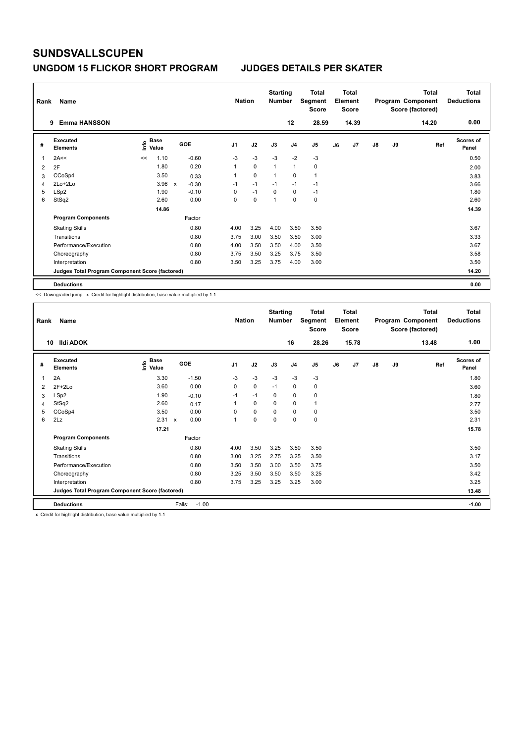### **UNGDOM 15 FLICKOR SHORT PROGRAM JUDGES DETAILS PER SKATER**

| Rank | Name                                            |                              |       |              |            |                | <b>Nation</b> | <b>Starting</b><br><b>Number</b> |                | Total<br>Segment<br><b>Score</b> |    | <b>Total</b><br>Element<br><b>Score</b> |               |    | <b>Total</b><br>Program Component<br>Score (factored) | <b>Total</b><br><b>Deductions</b> |
|------|-------------------------------------------------|------------------------------|-------|--------------|------------|----------------|---------------|----------------------------------|----------------|----------------------------------|----|-----------------------------------------|---------------|----|-------------------------------------------------------|-----------------------------------|
|      | <b>Emma HANSSON</b><br>9                        |                              |       |              |            |                |               |                                  | 12             | 28.59                            |    | 14.39                                   |               |    | 14.20                                                 | 0.00                              |
| #    | <b>Executed</b><br><b>Elements</b>              | <b>Base</b><br>lnfo<br>Value |       |              | <b>GOE</b> | J <sub>1</sub> | J2            | J3                               | J <sub>4</sub> | J5                               | J6 | J7                                      | $\mathsf{J}8$ | J9 | Ref                                                   | <b>Scores of</b><br>Panel         |
| 1    | 2A<<                                            | <<                           | 1.10  |              | $-0.60$    | $-3$           | $-3$          | $-3$                             | $-2$           | $-3$                             |    |                                         |               |    |                                                       | 0.50                              |
| 2    | 2F                                              |                              | 1.80  |              | 0.20       | $\mathbf{1}$   | $\mathbf 0$   | $\overline{1}$                   | $\overline{1}$ | $\mathbf 0$                      |    |                                         |               |    |                                                       | 2.00                              |
| 3    | CCoSp4                                          |                              | 3.50  |              | 0.33       | 1              | $\mathbf 0$   | $\overline{1}$                   | 0              | $\mathbf{1}$                     |    |                                         |               |    |                                                       | 3.83                              |
| 4    | 2Lo+2Lo                                         |                              | 3.96  | $\mathsf{x}$ | $-0.30$    | $-1$           | $-1$          | $-1$                             | $-1$           | $-1$                             |    |                                         |               |    |                                                       | 3.66                              |
| 5    | LSp2                                            |                              | 1.90  |              | $-0.10$    | 0              | $-1$          | $\Omega$                         | $\mathbf 0$    | $-1$                             |    |                                         |               |    |                                                       | 1.80                              |
| 6    | StSq2                                           |                              | 2.60  |              | 0.00       | 0              | 0             | $\overline{1}$                   | 0              | 0                                |    |                                         |               |    |                                                       | 2.60                              |
|      |                                                 |                              | 14.86 |              |            |                |               |                                  |                |                                  |    |                                         |               |    |                                                       | 14.39                             |
|      | <b>Program Components</b>                       |                              |       |              | Factor     |                |               |                                  |                |                                  |    |                                         |               |    |                                                       |                                   |
|      | <b>Skating Skills</b>                           |                              |       |              | 0.80       | 4.00           | 3.25          | 4.00                             | 3.50           | 3.50                             |    |                                         |               |    |                                                       | 3.67                              |
|      | Transitions                                     |                              |       |              | 0.80       | 3.75           | 3.00          | 3.50                             | 3.50           | 3.00                             |    |                                         |               |    |                                                       | 3.33                              |
|      | Performance/Execution                           |                              |       |              | 0.80       | 4.00           | 3.50          | 3.50                             | 4.00           | 3.50                             |    |                                         |               |    |                                                       | 3.67                              |
|      | Choreography                                    |                              |       |              | 0.80       | 3.75           | 3.50          | 3.25                             | 3.75           | 3.50                             |    |                                         |               |    |                                                       | 3.58                              |
|      | Interpretation                                  |                              |       |              | 0.80       | 3.50           | 3.25          | 3.75                             | 4.00           | 3.00                             |    |                                         |               |    |                                                       | 3.50                              |
|      | Judges Total Program Component Score (factored) |                              |       |              |            |                |               |                                  |                |                                  |    |                                         |               |    |                                                       | 14.20                             |
|      | <b>Deductions</b>                               |                              |       |              |            |                |               |                                  |                |                                  |    |                                         |               |    |                                                       | 0.00                              |

<< Downgraded jump x Credit for highlight distribution, base value multiplied by 1.1

| Rank | Name                                            |                                         |                      | <b>Nation</b>  |             | <b>Starting</b><br><b>Number</b> |                | <b>Total</b><br>Segment<br><b>Score</b> |    | <b>Total</b><br>Element<br><b>Score</b> |               |    | <b>Total</b><br>Program Component<br>Score (factored) | <b>Total</b><br><b>Deductions</b> |
|------|-------------------------------------------------|-----------------------------------------|----------------------|----------------|-------------|----------------------------------|----------------|-----------------------------------------|----|-----------------------------------------|---------------|----|-------------------------------------------------------|-----------------------------------|
| 10   | Ildi ADOK                                       |                                         |                      |                |             |                                  | 16             | 28.26                                   |    | 15.78                                   |               |    | 13.48                                                 | 1.00                              |
| #    | Executed<br><b>Elements</b>                     | $\mathbf{e}$ Base<br>$\mathbf{E}$ Value | GOE                  | J <sub>1</sub> | J2          | J3                               | J <sub>4</sub> | J5                                      | J6 | J7                                      | $\mathsf{J}8$ | J9 | Ref                                                   | <b>Scores of</b><br>Panel         |
| 1    | 2A                                              | 3.30                                    | $-1.50$              | $-3$           | $-3$        | $-3$                             | $-3$           | $-3$                                    |    |                                         |               |    |                                                       | 1.80                              |
| 2    | $2F+2Lo$                                        | 3.60                                    | 0.00                 | 0              | $\mathbf 0$ | $-1$                             | 0              | 0                                       |    |                                         |               |    |                                                       | 3.60                              |
| 3    | LSp2                                            | 1.90                                    | $-0.10$              | $-1$           | $-1$        | 0                                | 0              | 0                                       |    |                                         |               |    |                                                       | 1.80                              |
| 4    | StSq2                                           | 2.60                                    | 0.17                 |                | 0           | 0                                | $\mathbf 0$    | 1                                       |    |                                         |               |    |                                                       | 2.77                              |
| 5    | CCoSp4                                          | 3.50                                    | 0.00                 | $\Omega$       | $\mathbf 0$ | $\Omega$                         | $\mathbf 0$    | 0                                       |    |                                         |               |    |                                                       | 3.50                              |
| 6    | 2Lz                                             | 2.31                                    | 0.00<br>$\mathsf{x}$ |                | $\pmb{0}$   | $\mathbf 0$                      | 0              | 0                                       |    |                                         |               |    |                                                       | 2.31                              |
|      |                                                 | 17.21                                   |                      |                |             |                                  |                |                                         |    |                                         |               |    |                                                       | 15.78                             |
|      | <b>Program Components</b>                       |                                         | Factor               |                |             |                                  |                |                                         |    |                                         |               |    |                                                       |                                   |
|      | <b>Skating Skills</b>                           |                                         | 0.80                 | 4.00           | 3.50        | 3.25                             | 3.50           | 3.50                                    |    |                                         |               |    |                                                       | 3.50                              |
|      | Transitions                                     |                                         | 0.80                 | 3.00           | 3.25        | 2.75                             | 3.25           | 3.50                                    |    |                                         |               |    |                                                       | 3.17                              |
|      | Performance/Execution                           |                                         | 0.80                 | 3.50           | 3.50        | 3.00                             | 3.50           | 3.75                                    |    |                                         |               |    |                                                       | 3.50                              |
|      | Choreography                                    |                                         | 0.80                 | 3.25           | 3.50        | 3.50                             | 3.50           | 3.25                                    |    |                                         |               |    |                                                       | 3.42                              |
|      | Interpretation                                  |                                         | 0.80                 | 3.75           | 3.25        | 3.25                             | 3.25           | 3.00                                    |    |                                         |               |    |                                                       | 3.25                              |
|      | Judges Total Program Component Score (factored) |                                         |                      |                |             |                                  |                |                                         |    |                                         |               |    |                                                       | 13.48                             |
|      | <b>Deductions</b>                               |                                         | $-1.00$<br>Falls:    |                |             |                                  |                |                                         |    |                                         |               |    |                                                       | $-1.00$                           |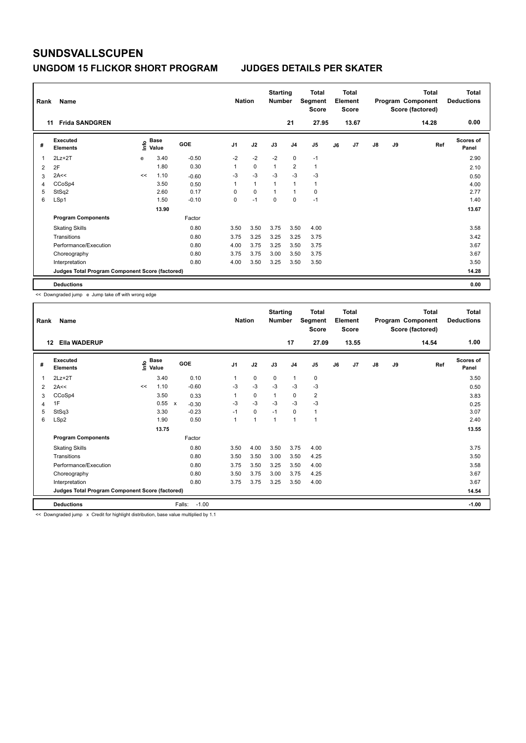### **UNGDOM 15 FLICKOR SHORT PROGRAM JUDGES DETAILS PER SKATER**

| Rank | Name                                            |    |                      |         | <b>Nation</b>  |                | <b>Starting</b><br><b>Number</b> |                | <b>Total</b><br>Segment<br><b>Score</b> |    | <b>Total</b><br>Element<br><b>Score</b> |               |    | Total<br>Program Component<br>Score (factored) | Total<br><b>Deductions</b> |
|------|-------------------------------------------------|----|----------------------|---------|----------------|----------------|----------------------------------|----------------|-----------------------------------------|----|-----------------------------------------|---------------|----|------------------------------------------------|----------------------------|
| 11   | <b>Frida SANDGREN</b>                           |    |                      |         |                |                |                                  | 21             | 27.95                                   |    | 13.67                                   |               |    | 14.28                                          | 0.00                       |
| #    | Executed<br><b>Elements</b>                     | ۴  | <b>Base</b><br>Value | GOE     | J <sub>1</sub> | J2             | J3                               | J <sub>4</sub> | J5                                      | J6 | J7                                      | $\mathsf{J}8$ | J9 | Ref                                            | <b>Scores of</b><br>Panel  |
| 1    | $2Lz+2T$                                        | e  | 3.40                 | $-0.50$ | $-2$           | $-2$           | $-2$                             | $\mathbf 0$    | $-1$                                    |    |                                         |               |    |                                                | 2.90                       |
| 2    | 2F                                              |    | 1.80                 | 0.30    | 1              | $\mathbf 0$    | $\overline{1}$                   | $\overline{2}$ | $\mathbf{1}$                            |    |                                         |               |    |                                                | 2.10                       |
| 3    | 2A<<                                            | << | 1.10                 | $-0.60$ | -3             | $-3$           | -3                               | $-3$           | $-3$                                    |    |                                         |               |    |                                                | 0.50                       |
| 4    | CCoSp4                                          |    | 3.50                 | 0.50    | 1              | $\overline{1}$ | $\overline{1}$                   | $\overline{1}$ | 1                                       |    |                                         |               |    |                                                | 4.00                       |
| 5    | StSq2                                           |    | 2.60                 | 0.17    | 0              | $\mathbf 0$    | $\overline{1}$                   | $\mathbf{1}$   | 0                                       |    |                                         |               |    |                                                | 2.77                       |
| 6    | LSp1                                            |    | 1.50                 | $-0.10$ | 0              | $-1$           | $\mathbf 0$                      | $\mathbf 0$    | $-1$                                    |    |                                         |               |    |                                                | 1.40                       |
|      |                                                 |    | 13.90                |         |                |                |                                  |                |                                         |    |                                         |               |    |                                                | 13.67                      |
|      | <b>Program Components</b>                       |    |                      | Factor  |                |                |                                  |                |                                         |    |                                         |               |    |                                                |                            |
|      | <b>Skating Skills</b>                           |    |                      | 0.80    | 3.50           | 3.50           | 3.75                             | 3.50           | 4.00                                    |    |                                         |               |    |                                                | 3.58                       |
|      | Transitions                                     |    |                      | 0.80    | 3.75           | 3.25           | 3.25                             | 3.25           | 3.75                                    |    |                                         |               |    |                                                | 3.42                       |
|      | Performance/Execution                           |    |                      | 0.80    | 4.00           | 3.75           | 3.25                             | 3.50           | 3.75                                    |    |                                         |               |    |                                                | 3.67                       |
|      | Choreography                                    |    |                      | 0.80    | 3.75           | 3.75           | 3.00                             | 3.50           | 3.75                                    |    |                                         |               |    |                                                | 3.67                       |
|      | Interpretation                                  |    |                      | 0.80    | 4.00           | 3.50           | 3.25                             | 3.50           | 3.50                                    |    |                                         |               |    |                                                | 3.50                       |
|      | Judges Total Program Component Score (factored) |    |                      |         |                |                |                                  |                |                                         |    |                                         |               |    |                                                | 14.28                      |
|      | <b>Deductions</b>                               |    |                      |         |                |                |                                  |                |                                         |    |                                         |               |    |                                                | 0.00                       |

<< Downgraded jump e Jump take off with wrong edge

| Rank           | Name                                            |     |                      |                   | <b>Nation</b>  |      | <b>Starting</b><br><b>Number</b> |                | <b>Total</b><br>Segment<br><b>Score</b> |    | <b>Total</b><br>Element<br><b>Score</b> |               |    | Total<br>Program Component<br>Score (factored) | <b>Total</b><br><b>Deductions</b> |
|----------------|-------------------------------------------------|-----|----------------------|-------------------|----------------|------|----------------------------------|----------------|-----------------------------------------|----|-----------------------------------------|---------------|----|------------------------------------------------|-----------------------------------|
| 12             | <b>Ella WADERUP</b>                             |     |                      |                   |                |      |                                  | 17             | 27.09                                   |    | 13.55                                   |               |    | 14.54                                          | 1.00                              |
| #              | Executed<br><b>Elements</b>                     | ١m٥ | <b>Base</b><br>Value | GOE               | J <sub>1</sub> | J2   | J3                               | J <sub>4</sub> | J <sub>5</sub>                          | J6 | J7                                      | $\mathsf{J}8$ | J9 | Ref                                            | Scores of<br>Panel                |
| 1              | $2Lz+2T$                                        |     | 3.40                 | 0.10              | 1              | 0    | 0                                | 1              | 0                                       |    |                                         |               |    |                                                | 3.50                              |
| $\overline{2}$ | 2A<<                                            | <<  | 1.10                 | $-0.60$           | $-3$           | $-3$ | $-3$                             | $-3$           | $-3$                                    |    |                                         |               |    |                                                | 0.50                              |
| 3              | CCoSp4                                          |     | 3.50                 | 0.33              | 1              | 0    | $\mathbf{1}$                     | 0              | 2                                       |    |                                         |               |    |                                                | 3.83                              |
| 4              | 1F                                              |     | 0.55 x               | $-0.30$           | $-3$           | $-3$ | $-3$                             | $-3$           | $-3$                                    |    |                                         |               |    |                                                | 0.25                              |
| 5              | StSq3                                           |     | 3.30                 | $-0.23$           | $-1$           | 0    | $-1$                             | $\mathbf 0$    | $\mathbf{1}$                            |    |                                         |               |    |                                                | 3.07                              |
| 6              | LSp2                                            |     | 1.90                 | 0.50              | 1              | 1    | 1                                | 1              | 1                                       |    |                                         |               |    |                                                | 2.40                              |
|                |                                                 |     | 13.75                |                   |                |      |                                  |                |                                         |    |                                         |               |    |                                                | 13.55                             |
|                | <b>Program Components</b>                       |     |                      | Factor            |                |      |                                  |                |                                         |    |                                         |               |    |                                                |                                   |
|                | <b>Skating Skills</b>                           |     |                      | 0.80              | 3.50           | 4.00 | 3.50                             | 3.75           | 4.00                                    |    |                                         |               |    |                                                | 3.75                              |
|                | Transitions                                     |     |                      | 0.80              | 3.50           | 3.50 | 3.00                             | 3.50           | 4.25                                    |    |                                         |               |    |                                                | 3.50                              |
|                | Performance/Execution                           |     |                      | 0.80              | 3.75           | 3.50 | 3.25                             | 3.50           | 4.00                                    |    |                                         |               |    |                                                | 3.58                              |
|                | Choreography                                    |     |                      | 0.80              | 3.50           | 3.75 | 3.00                             | 3.75           | 4.25                                    |    |                                         |               |    |                                                | 3.67                              |
|                | Interpretation                                  |     |                      | 0.80              | 3.75           | 3.75 | 3.25                             | 3.50           | 4.00                                    |    |                                         |               |    |                                                | 3.67                              |
|                | Judges Total Program Component Score (factored) |     |                      |                   |                |      |                                  |                |                                         |    |                                         |               |    |                                                | 14.54                             |
|                | <b>Deductions</b>                               |     |                      | $-1.00$<br>Falls: |                |      |                                  |                |                                         |    |                                         |               |    |                                                | $-1.00$                           |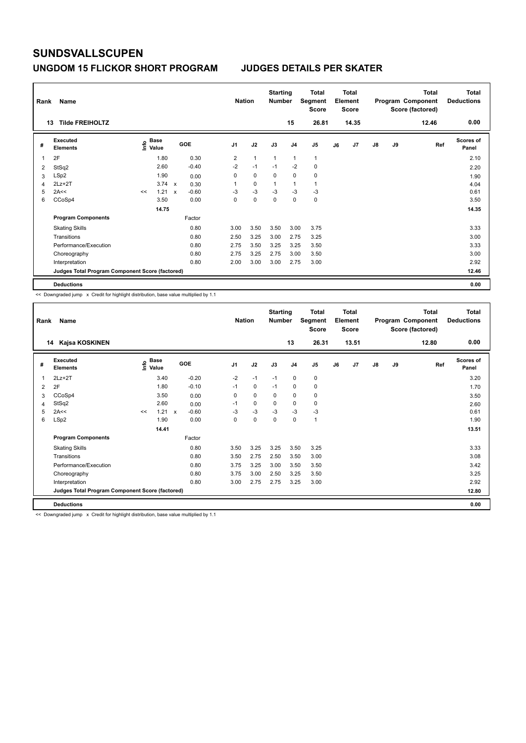### **UNGDOM 15 FLICKOR SHORT PROGRAM JUDGES DETAILS PER SKATER**

| Rank | Name                                            |    |                                  |             |            |                | <b>Nation</b>  |                | <b>Starting</b><br><b>Number</b> |                | <b>Total</b><br>Segment<br><b>Score</b> |    | <b>Total</b><br>Element<br><b>Score</b> |               |    | <b>Total</b><br>Program Component<br>Score (factored) | <b>Total</b><br><b>Deductions</b> |
|------|-------------------------------------------------|----|----------------------------------|-------------|------------|----------------|----------------|----------------|----------------------------------|----------------|-----------------------------------------|----|-----------------------------------------|---------------|----|-------------------------------------------------------|-----------------------------------|
|      | <b>Tilde FREIHOLTZ</b><br>13                    |    |                                  |             |            |                |                |                |                                  | 15             | 26.81                                   |    | 14.35                                   |               |    | 12.46                                                 | 0.00                              |
| #    | <b>Executed</b><br><b>Elements</b>              |    | <b>Base</b><br>e Base<br>⊆ Value |             | <b>GOE</b> | J <sub>1</sub> |                | J2             | J3                               | J <sub>4</sub> | J5                                      | J6 | J7                                      | $\mathsf{J}8$ | J9 | Ref                                                   | <b>Scores of</b><br>Panel         |
|      | 2F                                              |    | 1.80                             |             | 0.30       |                | $\overline{2}$ | $\overline{1}$ | 1                                | $\overline{1}$ | $\mathbf{1}$                            |    |                                         |               |    |                                                       | 2.10                              |
| 2    | StSq2                                           |    | 2.60                             |             | $-0.40$    |                | $-2$           | $-1$           | $-1$                             | -2             | 0                                       |    |                                         |               |    |                                                       | 2.20                              |
| 3    | LSp2                                            |    | 1.90                             |             | 0.00       |                | 0              | $\mathbf 0$    | 0                                | $\mathbf 0$    | $\pmb{0}$                               |    |                                         |               |    |                                                       | 1.90                              |
| 4    | $2Lz + 2T$                                      |    | 3.74                             | $\mathbf x$ | 0.30       | 1              |                | 0              | $\overline{1}$                   | 1              | $\mathbf{1}$                            |    |                                         |               |    |                                                       | 4.04                              |
| 5    | 2A<<                                            | << | 1.21                             | $\mathbf x$ | $-0.60$    |                | $-3$           | $-3$           | $-3$                             | $-3$           | $-3$                                    |    |                                         |               |    |                                                       | 0.61                              |
| 6    | CCoSp4                                          |    | 3.50                             |             | 0.00       |                | 0              | $\Omega$       | $\Omega$                         | $\mathbf 0$    | $\mathbf 0$                             |    |                                         |               |    |                                                       | 3.50                              |
|      |                                                 |    | 14.75                            |             |            |                |                |                |                                  |                |                                         |    |                                         |               |    |                                                       | 14.35                             |
|      | <b>Program Components</b>                       |    |                                  |             | Factor     |                |                |                |                                  |                |                                         |    |                                         |               |    |                                                       |                                   |
|      | <b>Skating Skills</b>                           |    |                                  |             | 0.80       |                | 3.00           | 3.50           | 3.50                             | 3.00           | 3.75                                    |    |                                         |               |    |                                                       | 3.33                              |
|      | Transitions                                     |    |                                  |             | 0.80       |                | 2.50           | 3.25           | 3.00                             | 2.75           | 3.25                                    |    |                                         |               |    |                                                       | 3.00                              |
|      | Performance/Execution                           |    |                                  |             | 0.80       |                | 2.75           | 3.50           | 3.25                             | 3.25           | 3.50                                    |    |                                         |               |    |                                                       | 3.33                              |
|      | Choreography                                    |    |                                  |             | 0.80       |                | 2.75           | 3.25           | 2.75                             | 3.00           | 3.50                                    |    |                                         |               |    |                                                       | 3.00                              |
|      | Interpretation                                  |    |                                  |             | 0.80       |                | 2.00           | 3.00           | 3.00                             | 2.75           | 3.00                                    |    |                                         |               |    |                                                       | 2.92                              |
|      | Judges Total Program Component Score (factored) |    |                                  |             |            |                |                |                |                                  |                |                                         |    |                                         |               |    |                                                       | 12.46                             |
|      | <b>Deductions</b>                               |    |                                  |             |            |                |                |                |                                  |                |                                         |    |                                         |               |    |                                                       | 0.00                              |

<< Downgraded jump x Credit for highlight distribution, base value multiplied by 1.1

| Rank           | Name                                            |    |                                  |                           |         |                | <b>Nation</b> |             | <b>Starting</b><br><b>Number</b> |                | <b>Total</b><br>Segment<br>Score |    | Total<br>Element<br><b>Score</b> |               |    | <b>Total</b><br>Program Component<br>Score (factored) | <b>Total</b><br><b>Deductions</b> |
|----------------|-------------------------------------------------|----|----------------------------------|---------------------------|---------|----------------|---------------|-------------|----------------------------------|----------------|----------------------------------|----|----------------------------------|---------------|----|-------------------------------------------------------|-----------------------------------|
|                | Kajsa KOSKINEN<br>14                            |    |                                  |                           |         |                |               |             |                                  | 13             | 26.31                            |    | 13.51                            |               |    | 12.80                                                 | 0.00                              |
| #              | Executed<br><b>Elements</b>                     |    | <b>Base</b><br>e Base<br>E Value | <b>GOE</b>                |         | J <sub>1</sub> |               | J2          | J3                               | J <sub>4</sub> | J5                               | J6 | J7                               | $\mathsf{J}8$ | J9 | Ref                                                   | Scores of<br>Panel                |
| 1              | $2Lz+2T$                                        |    | 3.40                             |                           | $-0.20$ |                | $-2$          | $-1$        | $-1$                             | $\mathbf 0$    | 0                                |    |                                  |               |    |                                                       | 3.20                              |
| 2              | 2F                                              |    | 1.80                             |                           | $-0.10$ |                | $-1$          | $\mathbf 0$ | $-1$                             | 0              | 0                                |    |                                  |               |    |                                                       | 1.70                              |
| 3              | CCoSp4                                          |    | 3.50                             |                           | 0.00    |                | 0             | $\mathbf 0$ | 0                                | $\mathbf 0$    | 0                                |    |                                  |               |    |                                                       | 3.50                              |
| $\overline{4}$ | StSq2                                           |    | 2.60                             |                           | 0.00    |                | $-1$          | 0           | 0                                | 0              | 0                                |    |                                  |               |    |                                                       | 2.60                              |
| 5              | 2A<<                                            | << | 1.21                             | $\boldsymbol{\mathsf{x}}$ | $-0.60$ |                | $-3$          | $-3$        | $-3$                             | $-3$           | $-3$                             |    |                                  |               |    |                                                       | 0.61                              |
| 6              | LSp2                                            |    | 1.90                             |                           | 0.00    |                | 0             | 0           | 0                                | 0              | $\mathbf{1}$                     |    |                                  |               |    |                                                       | 1.90                              |
|                |                                                 |    | 14.41                            |                           |         |                |               |             |                                  |                |                                  |    |                                  |               |    |                                                       | 13.51                             |
|                | <b>Program Components</b>                       |    |                                  |                           | Factor  |                |               |             |                                  |                |                                  |    |                                  |               |    |                                                       |                                   |
|                | <b>Skating Skills</b>                           |    |                                  |                           | 0.80    |                | 3.50          | 3.25        | 3.25                             | 3.50           | 3.25                             |    |                                  |               |    |                                                       | 3.33                              |
|                | Transitions                                     |    |                                  |                           | 0.80    |                | 3.50          | 2.75        | 2.50                             | 3.50           | 3.00                             |    |                                  |               |    |                                                       | 3.08                              |
|                | Performance/Execution                           |    |                                  |                           | 0.80    |                | 3.75          | 3.25        | 3.00                             | 3.50           | 3.50                             |    |                                  |               |    |                                                       | 3.42                              |
|                | Choreography                                    |    |                                  |                           | 0.80    |                | 3.75          | 3.00        | 2.50                             | 3.25           | 3.50                             |    |                                  |               |    |                                                       | 3.25                              |
|                | Interpretation                                  |    |                                  |                           | 0.80    |                | 3.00          | 2.75        | 2.75                             | 3.25           | 3.00                             |    |                                  |               |    |                                                       | 2.92                              |
|                | Judges Total Program Component Score (factored) |    |                                  |                           |         |                |               |             |                                  |                |                                  |    |                                  |               |    |                                                       | 12.80                             |
|                | <b>Deductions</b>                               |    |                                  |                           |         |                |               |             |                                  |                |                                  |    |                                  |               |    |                                                       | 0.00                              |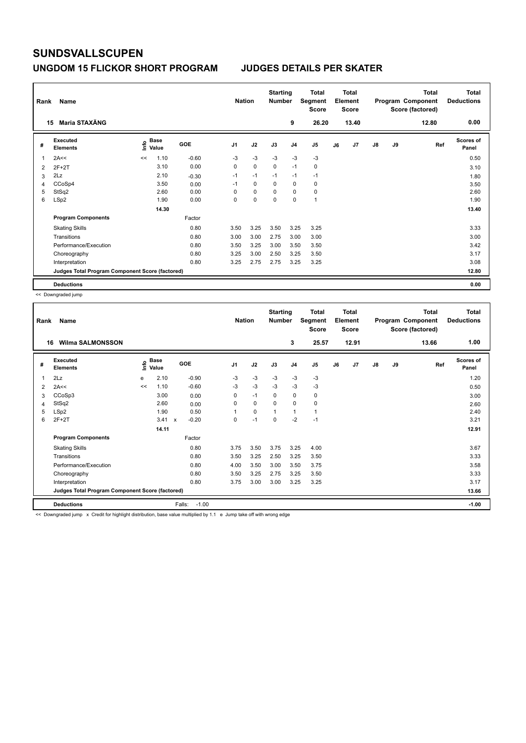### **UNGDOM 15 FLICKOR SHORT PROGRAM JUDGES DETAILS PER SKATER**

| Rank           | Name                                            |      |                      |            | <b>Nation</b>  |             | <b>Starting</b><br><b>Number</b> |                | <b>Total</b><br>Segment<br><b>Score</b> |    | Total<br>Element<br><b>Score</b> |               |    | <b>Total</b><br>Program Component<br>Score (factored) | <b>Total</b><br><b>Deductions</b> |
|----------------|-------------------------------------------------|------|----------------------|------------|----------------|-------------|----------------------------------|----------------|-----------------------------------------|----|----------------------------------|---------------|----|-------------------------------------------------------|-----------------------------------|
|                | Maria STAXÄNG<br>15                             |      |                      |            |                |             |                                  | 9              | 26.20                                   |    | 13.40                            |               |    | 12.80                                                 | 0.00                              |
| #              | Executed<br><b>Elements</b>                     | lnfo | <b>Base</b><br>Value | <b>GOE</b> | J <sub>1</sub> | J2          | J3                               | J <sub>4</sub> | J5                                      | J6 | J7                               | $\mathsf{J}8$ | J9 | Ref                                                   | Scores of<br>Panel                |
| 1              | 2A<<                                            | <<   | 1.10                 | $-0.60$    | $-3$           | $-3$        | $-3$                             | $-3$           | $-3$                                    |    |                                  |               |    |                                                       | 0.50                              |
| $\overline{2}$ | $2F+2T$                                         |      | 3.10                 | 0.00       | 0              | $\mathbf 0$ | $\mathbf 0$                      | $-1$           | 0                                       |    |                                  |               |    |                                                       | 3.10                              |
| 3              | 2Lz                                             |      | 2.10                 | $-0.30$    | $-1$           | $-1$        | $-1$                             | $-1$           | $-1$                                    |    |                                  |               |    |                                                       | 1.80                              |
| 4              | CCoSp4                                          |      | 3.50                 | 0.00       | $-1$           | $\mathbf 0$ | 0                                | 0              | 0                                       |    |                                  |               |    |                                                       | 3.50                              |
| 5              | StSq2                                           |      | 2.60                 | 0.00       | 0              | $\mathbf 0$ | $\Omega$                         | $\mathbf 0$    | $\pmb{0}$                               |    |                                  |               |    |                                                       | 2.60                              |
| 6              | LSp2                                            |      | 1.90                 | 0.00       | 0              | $\Omega$    | $\Omega$                         | $\Omega$       | $\overline{1}$                          |    |                                  |               |    |                                                       | 1.90                              |
|                |                                                 |      | 14.30                |            |                |             |                                  |                |                                         |    |                                  |               |    |                                                       | 13.40                             |
|                | <b>Program Components</b>                       |      |                      | Factor     |                |             |                                  |                |                                         |    |                                  |               |    |                                                       |                                   |
|                | <b>Skating Skills</b>                           |      |                      | 0.80       | 3.50           | 3.25        | 3.50                             | 3.25           | 3.25                                    |    |                                  |               |    |                                                       | 3.33                              |
|                | Transitions                                     |      |                      | 0.80       | 3.00           | 3.00        | 2.75                             | 3.00           | 3.00                                    |    |                                  |               |    |                                                       | 3.00                              |
|                | Performance/Execution                           |      |                      | 0.80       | 3.50           | 3.25        | 3.00                             | 3.50           | 3.50                                    |    |                                  |               |    |                                                       | 3.42                              |
|                | Choreography                                    |      |                      | 0.80       | 3.25           | 3.00        | 2.50                             | 3.25           | 3.50                                    |    |                                  |               |    |                                                       | 3.17                              |
|                | Interpretation                                  |      |                      | 0.80       | 3.25           | 2.75        | 2.75                             | 3.25           | 3.25                                    |    |                                  |               |    |                                                       | 3.08                              |
|                | Judges Total Program Component Score (factored) |      |                      |            |                |             |                                  |                |                                         |    |                                  |               |    |                                                       | 12.80                             |
|                | <b>Deductions</b>                               |      |                      |            |                |             |                                  |                |                                         |    |                                  |               |    |                                                       | 0.00                              |

<< Downgraded jump

| Rank           | Name                                            |                       |       |                           |         | <b>Nation</b>  |      | <b>Starting</b><br><b>Number</b> |                | Total<br>Segment<br><b>Score</b> |    | <b>Total</b><br>Element<br><b>Score</b> |    |    | <b>Total</b><br>Program Component<br>Score (factored) | <b>Total</b><br><b>Deductions</b> |
|----------------|-------------------------------------------------|-----------------------|-------|---------------------------|---------|----------------|------|----------------------------------|----------------|----------------------------------|----|-----------------------------------------|----|----|-------------------------------------------------------|-----------------------------------|
| 16             | <b>Wilma SALMONSSON</b>                         |                       |       |                           |         |                |      |                                  | 3              | 25.57                            |    | 12.91                                   |    |    | 13.66                                                 | 1.00                              |
| #              | Executed<br><b>Elements</b>                     | $\sum_{i=1}^{n}$ Base |       |                           | GOE     | J <sub>1</sub> | J2   | J3                               | J <sub>4</sub> | J <sub>5</sub>                   | J6 | J7                                      | J8 | J9 | Ref                                                   | Scores of<br>Panel                |
| 1              | 2Lz                                             | e                     | 2.10  |                           | $-0.90$ | $-3$           | $-3$ | $-3$                             | $-3$           | $-3$                             |    |                                         |    |    |                                                       | 1.20                              |
| $\overline{2}$ | 2A<<                                            | <<                    | 1.10  |                           | $-0.60$ | $-3$           | $-3$ | $-3$                             | $-3$           | $-3$                             |    |                                         |    |    |                                                       | 0.50                              |
| 3              | CCoSp3                                          |                       | 3.00  |                           | 0.00    | 0              | $-1$ | $\mathbf 0$                      | $\mathbf 0$    | 0                                |    |                                         |    |    |                                                       | 3.00                              |
| 4              | StSq2                                           |                       | 2.60  |                           | 0.00    | $\Omega$       | 0    | $\Omega$                         | 0              | 0                                |    |                                         |    |    |                                                       | 2.60                              |
| 5              | LSp2                                            |                       | 1.90  |                           | 0.50    | 1              | 0    | 1                                | 1              | 1                                |    |                                         |    |    |                                                       | 2.40                              |
| 6              | $2F+2T$                                         |                       | 3.41  | $\boldsymbol{\mathsf{x}}$ | $-0.20$ | 0              | $-1$ | $\Omega$                         | $-2$           | $-1$                             |    |                                         |    |    |                                                       | 3.21                              |
|                |                                                 |                       | 14.11 |                           |         |                |      |                                  |                |                                  |    |                                         |    |    |                                                       | 12.91                             |
|                | <b>Program Components</b>                       |                       |       |                           | Factor  |                |      |                                  |                |                                  |    |                                         |    |    |                                                       |                                   |
|                | <b>Skating Skills</b>                           |                       |       |                           | 0.80    | 3.75           | 3.50 | 3.75                             | 3.25           | 4.00                             |    |                                         |    |    |                                                       | 3.67                              |
|                | Transitions                                     |                       |       |                           | 0.80    | 3.50           | 3.25 | 2.50                             | 3.25           | 3.50                             |    |                                         |    |    |                                                       | 3.33                              |
|                | Performance/Execution                           |                       |       |                           | 0.80    | 4.00           | 3.50 | 3.00                             | 3.50           | 3.75                             |    |                                         |    |    |                                                       | 3.58                              |
|                | Choreography                                    |                       |       |                           | 0.80    | 3.50           | 3.25 | 2.75                             | 3.25           | 3.50                             |    |                                         |    |    |                                                       | 3.33                              |
|                | Interpretation                                  |                       |       |                           | 0.80    | 3.75           | 3.00 | 3.00                             | 3.25           | 3.25                             |    |                                         |    |    |                                                       | 3.17                              |
|                | Judges Total Program Component Score (factored) |                       |       |                           |         |                |      |                                  |                |                                  |    |                                         |    |    |                                                       | 13.66                             |
|                | <b>Deductions</b>                               |                       |       | Falls:                    | $-1.00$ |                |      |                                  |                |                                  |    |                                         |    |    |                                                       | $-1.00$                           |

<< Downgraded jump x Credit for highlight distribution, base value multiplied by 1.1 e Jump take off with wrong edge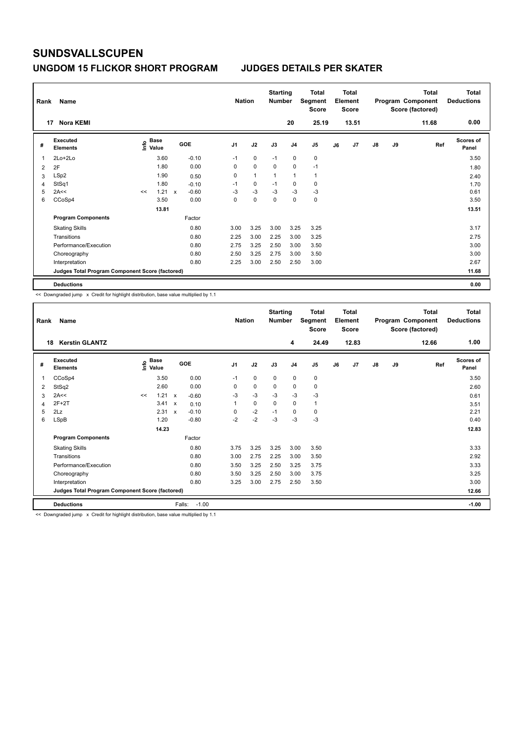## **UNGDOM 15 FLICKOR SHORT PROGRAM JUDGES DETAILS PER SKATER**

| Rank           | Name                                            |                   |             |                           |            | <b>Nation</b> |              | <b>Starting</b><br><b>Number</b> |                | Total<br>Segment<br><b>Score</b> |    | <b>Total</b><br>Element<br><b>Score</b> |               |    | <b>Total</b><br>Program Component<br>Score (factored) | <b>Total</b><br><b>Deductions</b> |
|----------------|-------------------------------------------------|-------------------|-------------|---------------------------|------------|---------------|--------------|----------------------------------|----------------|----------------------------------|----|-----------------------------------------|---------------|----|-------------------------------------------------------|-----------------------------------|
|                | <b>Nora KEMI</b><br>17                          |                   |             |                           |            |               |              |                                  | 20             | 25.19                            |    | 13.51                                   |               |    | 11.68                                                 | 0.00                              |
| #              | Executed<br><b>Elements</b>                     | e Base<br>⊆ Value | <b>Base</b> |                           | <b>GOE</b> | J1            | J2           | J3                               | J <sub>4</sub> | J <sub>5</sub>                   | J6 | J7                                      | $\mathsf{J}8$ | J9 | Ref                                                   | <b>Scores of</b><br>Panel         |
|                | $2Lo+2Lo$                                       |                   | 3.60        |                           | $-0.10$    | $-1$          | $\mathbf 0$  | $-1$                             | $\mathbf 0$    | $\mathbf 0$                      |    |                                         |               |    |                                                       | 3.50                              |
| $\overline{2}$ | 2F                                              |                   | 1.80        |                           | 0.00       | 0             | $\mathbf 0$  | 0                                | 0              | $-1$                             |    |                                         |               |    |                                                       | 1.80                              |
| 3              | LSp2                                            |                   | 1.90        |                           | 0.50       | 0             | $\mathbf{1}$ | $\mathbf{1}$                     | $\overline{1}$ | $\mathbf{1}$                     |    |                                         |               |    |                                                       | 2.40                              |
| 4              | StSq1                                           |                   | 1.80        |                           | $-0.10$    | $-1$          | 0            | $-1$                             | 0              | 0                                |    |                                         |               |    |                                                       | 1.70                              |
| 5              | 2A<<                                            | <<                | 1.21        | $\boldsymbol{\mathsf{x}}$ | $-0.60$    | $-3$          | $-3$         | $-3$                             | $-3$           | $-3$                             |    |                                         |               |    |                                                       | 0.61                              |
| 6              | CCoSp4                                          |                   | 3.50        |                           | 0.00       | 0             | $\mathbf 0$  | $\Omega$                         | $\mathbf 0$    | $\pmb{0}$                        |    |                                         |               |    |                                                       | 3.50                              |
|                |                                                 |                   | 13.81       |                           |            |               |              |                                  |                |                                  |    |                                         |               |    |                                                       | 13.51                             |
|                | <b>Program Components</b>                       |                   |             |                           | Factor     |               |              |                                  |                |                                  |    |                                         |               |    |                                                       |                                   |
|                | <b>Skating Skills</b>                           |                   |             |                           | 0.80       | 3.00          | 3.25         | 3.00                             | 3.25           | 3.25                             |    |                                         |               |    |                                                       | 3.17                              |
|                | Transitions                                     |                   |             |                           | 0.80       | 2.25          | 3.00         | 2.25                             | 3.00           | 3.25                             |    |                                         |               |    |                                                       | 2.75                              |
|                | Performance/Execution                           |                   |             |                           | 0.80       | 2.75          | 3.25         | 2.50                             | 3.00           | 3.50                             |    |                                         |               |    |                                                       | 3.00                              |
|                | Choreography                                    |                   |             |                           | 0.80       | 2.50          | 3.25         | 2.75                             | 3.00           | 3.50                             |    |                                         |               |    |                                                       | 3.00                              |
|                | Interpretation                                  |                   |             |                           | 0.80       | 2.25          | 3.00         | 2.50                             | 2.50           | 3.00                             |    |                                         |               |    |                                                       | 2.67                              |
|                | Judges Total Program Component Score (factored) |                   |             |                           |            |               |              |                                  |                |                                  |    |                                         |               |    |                                                       | 11.68                             |
|                | <b>Deductions</b>                               |                   |             |                           |            |               |              |                                  |                |                                  |    |                                         |               |    |                                                       | 0.00                              |

<< Downgraded jump x Credit for highlight distribution, base value multiplied by 1.1

| Rank | Name                                            |    |                                        |                           |         | <b>Nation</b>  |             | <b>Starting</b><br><b>Number</b> |                | <b>Total</b><br>Segment<br><b>Score</b> |    | <b>Total</b><br>Element<br><b>Score</b> |               |    | <b>Total</b><br>Program Component<br>Score (factored) | <b>Total</b><br><b>Deductions</b> |
|------|-------------------------------------------------|----|----------------------------------------|---------------------------|---------|----------------|-------------|----------------------------------|----------------|-----------------------------------------|----|-----------------------------------------|---------------|----|-------------------------------------------------------|-----------------------------------|
| 18   | <b>Kerstin GLANTZ</b>                           |    |                                        |                           |         |                |             |                                  | 4              | 24.49                                   |    | 12.83                                   |               |    | 12.66                                                 | 1.00                              |
| #    | Executed<br><b>Elements</b>                     |    | $_{\circ}$ Base<br>$\check{\Xi}$ Value |                           | GOE     | J <sub>1</sub> | J2          | J3                               | J <sub>4</sub> | J <sub>5</sub>                          | J6 | J7                                      | $\mathsf{J}8$ | J9 | Ref                                                   | <b>Scores of</b><br>Panel         |
| 1    | CCoSp4                                          |    | 3.50                                   |                           | 0.00    | $-1$           | $\mathbf 0$ | $\mathbf 0$                      | 0              | 0                                       |    |                                         |               |    |                                                       | 3.50                              |
| 2    | StSq2                                           |    | 2.60                                   |                           | 0.00    | 0              | $\mathbf 0$ | 0                                | 0              | 0                                       |    |                                         |               |    |                                                       | 2.60                              |
| 3    | 2A<<                                            | << | 1.21                                   | $\mathsf{x}$              | $-0.60$ | $-3$           | $-3$        | $-3$                             | $-3$           | $-3$                                    |    |                                         |               |    |                                                       | 0.61                              |
| 4    | $2F+2T$                                         |    | 3.41                                   | $\boldsymbol{\mathsf{x}}$ | 0.10    |                | $\mathbf 0$ | 0                                | 0              | 1                                       |    |                                         |               |    |                                                       | 3.51                              |
| 5    | 2Lz                                             |    | 2.31                                   | $\mathsf{x}$              | $-0.10$ | $\Omega$       | $-2$        | $-1$                             | 0              | 0                                       |    |                                         |               |    |                                                       | 2.21                              |
| 6    | LSpB                                            |    | 1.20                                   |                           | $-0.80$ | $-2$           | $-2$        | $-3$                             | $-3$           | $-3$                                    |    |                                         |               |    |                                                       | 0.40                              |
|      |                                                 |    | 14.23                                  |                           |         |                |             |                                  |                |                                         |    |                                         |               |    |                                                       | 12.83                             |
|      | <b>Program Components</b>                       |    |                                        |                           | Factor  |                |             |                                  |                |                                         |    |                                         |               |    |                                                       |                                   |
|      | <b>Skating Skills</b>                           |    |                                        |                           | 0.80    | 3.75           | 3.25        | 3.25                             | 3.00           | 3.50                                    |    |                                         |               |    |                                                       | 3.33                              |
|      | Transitions                                     |    |                                        |                           | 0.80    | 3.00           | 2.75        | 2.25                             | 3.00           | 3.50                                    |    |                                         |               |    |                                                       | 2.92                              |
|      | Performance/Execution                           |    |                                        |                           | 0.80    | 3.50           | 3.25        | 2.50                             | 3.25           | 3.75                                    |    |                                         |               |    |                                                       | 3.33                              |
|      | Choreography                                    |    |                                        |                           | 0.80    | 3.50           | 3.25        | 2.50                             | 3.00           | 3.75                                    |    |                                         |               |    |                                                       | 3.25                              |
|      | Interpretation                                  |    |                                        |                           | 0.80    | 3.25           | 3.00        | 2.75                             | 2.50           | 3.50                                    |    |                                         |               |    |                                                       | 3.00                              |
|      | Judges Total Program Component Score (factored) |    |                                        |                           |         |                |             |                                  |                |                                         |    |                                         |               |    |                                                       | 12.66                             |
|      | <b>Deductions</b>                               |    |                                        | Falls:                    | $-1.00$ |                |             |                                  |                |                                         |    |                                         |               |    |                                                       | $-1.00$                           |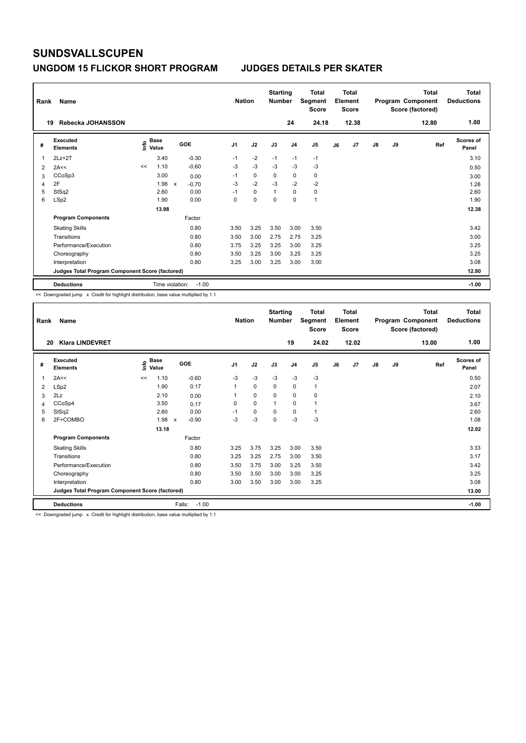### **UNGDOM 15 FLICKOR SHORT PROGRAM JUDGES DETAILS PER SKATER**

| Rank<br>19 | Name<br>Rebecka JOHANSSON                       |                                             |                            | <b>Nation</b>  |             | <b>Starting</b><br><b>Number</b> | 24             | <b>Total</b><br>Segment<br><b>Score</b><br>24.18 |    | <b>Total</b><br>Element<br><b>Score</b><br>12.38 |               |    | <b>Total</b><br>Program Component<br>Score (factored)<br>12.80 | Total<br><b>Deductions</b><br>1.00 |
|------------|-------------------------------------------------|---------------------------------------------|----------------------------|----------------|-------------|----------------------------------|----------------|--------------------------------------------------|----|--------------------------------------------------|---------------|----|----------------------------------------------------------------|------------------------------------|
|            |                                                 |                                             |                            |                |             |                                  |                |                                                  |    |                                                  |               |    |                                                                |                                    |
| #          | <b>Executed</b><br><b>Elements</b>              | <b>Base</b><br>e <sup>Base</sup><br>⊆ Value | GOE                        | J <sub>1</sub> | J2          | J3                               | J <sub>4</sub> | J5                                               | J6 | J7                                               | $\mathsf{J}8$ | J9 | Ref                                                            | <b>Scores of</b><br>Panel          |
| 1          | $2Lz + 2T$                                      | 3.40                                        | $-0.30$                    | $-1$           | $-2$        | $-1$                             | $-1$           | $-1$                                             |    |                                                  |               |    |                                                                | 3.10                               |
| 2          | 2A<<                                            | 1.10<br><<                                  | $-0.60$                    | $-3$           | $-3$        | $-3$                             | $-3$           | $-3$                                             |    |                                                  |               |    |                                                                | 0.50                               |
| 3          | CCoSp3                                          | 3.00                                        | 0.00                       | $-1$           | $\mathbf 0$ | 0                                | 0              | $\mathbf 0$                                      |    |                                                  |               |    |                                                                | 3.00                               |
| 4          | 2F                                              | 1.98                                        | $-0.70$<br>X               | $-3$           | $-2$        | $-3$                             | $-2$           | $-2$                                             |    |                                                  |               |    |                                                                | 1.28                               |
| 5          | StSq2                                           | 2.60                                        | 0.00                       | $-1$           | 0           | $\overline{1}$                   | 0              | $\pmb{0}$                                        |    |                                                  |               |    |                                                                | 2.60                               |
| 6          | LSp2                                            | 1.90                                        | 0.00                       | 0              | 0           | 0                                | 0              | $\mathbf{1}$                                     |    |                                                  |               |    |                                                                | 1.90                               |
|            |                                                 | 13.98                                       |                            |                |             |                                  |                |                                                  |    |                                                  |               |    |                                                                | 12.38                              |
|            | <b>Program Components</b>                       |                                             | Factor                     |                |             |                                  |                |                                                  |    |                                                  |               |    |                                                                |                                    |
|            | <b>Skating Skills</b>                           |                                             | 0.80                       | 3.50           | 3.25        | 3.50                             | 3.00           | 3.50                                             |    |                                                  |               |    |                                                                | 3.42                               |
|            | Transitions                                     |                                             | 0.80                       | 3.50           | 3.00        | 2.75                             | 2.75           | 3.25                                             |    |                                                  |               |    |                                                                | 3.00                               |
|            | Performance/Execution                           |                                             | 0.80                       | 3.75           | 3.25        | 3.25                             | 3.00           | 3.25                                             |    |                                                  |               |    |                                                                | 3.25                               |
|            | Choreography                                    |                                             | 0.80                       | 3.50           | 3.25        | 3.00                             | 3.25           | 3.25                                             |    |                                                  |               |    |                                                                | 3.25                               |
|            | Interpretation                                  |                                             | 0.80                       | 3.25           | 3.00        | 3.25                             | 3.00           | 3.00                                             |    |                                                  |               |    |                                                                | 3.08                               |
|            | Judges Total Program Component Score (factored) |                                             |                            |                |             |                                  |                |                                                  |    |                                                  |               |    |                                                                | 12.80                              |
|            | <b>Deductions</b>                               |                                             | Time violation:<br>$-1.00$ |                |             |                                  |                |                                                  |    |                                                  |               |    |                                                                | $-1.00$                            |

<< Downgraded jump x Credit for highlight distribution, base value multiplied by 1.1

| Rank | Name                                            |    |                            |                                      | <b>Nation</b>  |      | <b>Starting</b><br><b>Number</b> |                | <b>Total</b><br>Segment<br><b>Score</b> |    | <b>Total</b><br>Element<br><b>Score</b> |    |    | <b>Total</b><br>Program Component<br>Score (factored) | <b>Total</b><br><b>Deductions</b> |
|------|-------------------------------------------------|----|----------------------------|--------------------------------------|----------------|------|----------------------------------|----------------|-----------------------------------------|----|-----------------------------------------|----|----|-------------------------------------------------------|-----------------------------------|
| 20   | <b>Klara LINDEVRET</b>                          |    |                            |                                      |                |      |                                  | 19             | 24.02                                   |    | 12.02                                   |    |    | 13.00                                                 | 1.00                              |
| #    | Executed<br><b>Elements</b>                     |    | e Base<br>E Value<br>Value | GOE                                  | J <sub>1</sub> | J2   | J3                               | J <sub>4</sub> | J <sub>5</sub>                          | J6 | J7                                      | J8 | J9 | Ref                                                   | <b>Scores of</b><br>Panel         |
| 1    | 2A<<                                            | << | 1.10                       | $-0.60$                              | $-3$           | $-3$ | $-3$                             | $-3$           | $-3$                                    |    |                                         |    |    |                                                       | 0.50                              |
| 2    | LSp2                                            |    | 1.90                       | 0.17                                 | 1              | 0    | $\mathbf 0$                      | $\mathbf 0$    | 1                                       |    |                                         |    |    |                                                       | 2.07                              |
| 3    | 2Lz                                             |    | 2.10                       | 0.00                                 | 1              | 0    | $\mathbf 0$                      | 0              | 0                                       |    |                                         |    |    |                                                       | 2.10                              |
| 4    | CCoSp4                                          |    | 3.50                       | 0.17                                 | 0              | 0    | 1                                | 0              | 1                                       |    |                                         |    |    |                                                       | 3.67                              |
| 5    | StSq2                                           |    | 2.60                       | 0.00                                 | $-1$           | 0    | $\Omega$                         | 0              | 1                                       |    |                                         |    |    |                                                       | 2.60                              |
| 6    | 2F+COMBO                                        |    | 1.98                       | $-0.90$<br>$\boldsymbol{\mathsf{x}}$ | -3             | $-3$ | 0                                | $-3$           | $-3$                                    |    |                                         |    |    |                                                       | 1.08                              |
|      |                                                 |    | 13.18                      |                                      |                |      |                                  |                |                                         |    |                                         |    |    |                                                       | 12.02                             |
|      | <b>Program Components</b>                       |    |                            | Factor                               |                |      |                                  |                |                                         |    |                                         |    |    |                                                       |                                   |
|      | <b>Skating Skills</b>                           |    |                            | 0.80                                 | 3.25           | 3.75 | 3.25                             | 3.00           | 3.50                                    |    |                                         |    |    |                                                       | 3.33                              |
|      | Transitions                                     |    |                            | 0.80                                 | 3.25           | 3.25 | 2.75                             | 3.00           | 3.50                                    |    |                                         |    |    |                                                       | 3.17                              |
|      | Performance/Execution                           |    |                            | 0.80                                 | 3.50           | 3.75 | 3.00                             | 3.25           | 3.50                                    |    |                                         |    |    |                                                       | 3.42                              |
|      | Choreography                                    |    |                            | 0.80                                 | 3.50           | 3.50 | 3.00                             | 3.00           | 3.25                                    |    |                                         |    |    |                                                       | 3.25                              |
|      | Interpretation                                  |    |                            | 0.80                                 | 3.00           | 3.50 | 3.00                             | 3.00           | 3.25                                    |    |                                         |    |    |                                                       | 3.08                              |
|      | Judges Total Program Component Score (factored) |    |                            |                                      |                |      |                                  |                |                                         |    |                                         |    |    |                                                       | 13.00                             |
|      | <b>Deductions</b>                               |    |                            | $-1.00$<br>Falls:                    |                |      |                                  |                |                                         |    |                                         |    |    |                                                       | $-1.00$                           |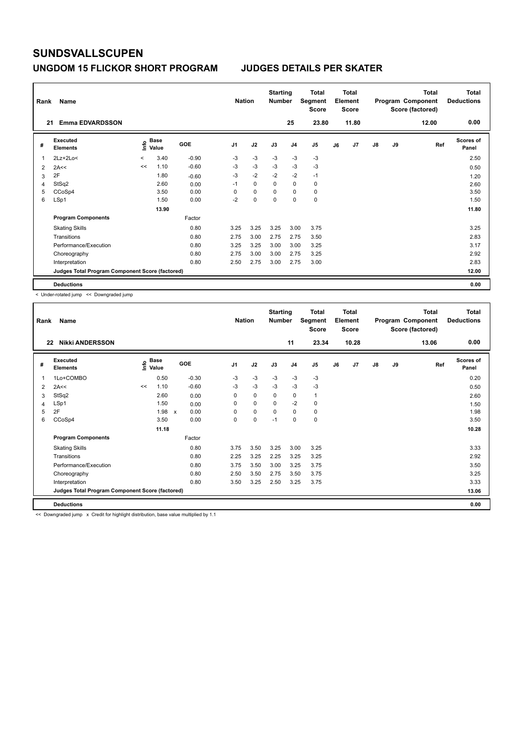### **UNGDOM 15 FLICKOR SHORT PROGRAM JUDGES DETAILS PER SKATER**

| Rank | Name                                            |                          |                      |         | <b>Nation</b>  |             | <b>Starting</b><br><b>Number</b> |                | <b>Total</b><br>Segment<br><b>Score</b> |    | <b>Total</b><br>Element<br><b>Score</b> |               |    | <b>Total</b><br>Program Component<br>Score (factored) | Total<br><b>Deductions</b> |
|------|-------------------------------------------------|--------------------------|----------------------|---------|----------------|-------------|----------------------------------|----------------|-----------------------------------------|----|-----------------------------------------|---------------|----|-------------------------------------------------------|----------------------------|
| 21   | <b>Emma EDVARDSSON</b>                          |                          |                      |         |                |             |                                  | 25             | 23.80                                   |    | 11.80                                   |               |    | 12.00                                                 | 0.00                       |
| #    | Executed<br><b>Elements</b>                     | ١nfo                     | <b>Base</b><br>Value | GOE     | J <sub>1</sub> | J2          | J3                               | J <sub>4</sub> | J <sub>5</sub>                          | J6 | J7                                      | $\mathsf{J}8$ | J9 | Ref                                                   | Scores of<br>Panel         |
|      | $2Lz+2Lo<$                                      | $\overline{\phantom{a}}$ | 3.40                 | $-0.90$ | $-3$           | $-3$        | $-3$                             | $-3$           | $-3$                                    |    |                                         |               |    |                                                       | 2.50                       |
| 2    | 2A<<                                            | <<                       | 1.10                 | $-0.60$ | $-3$           | $-3$        | $-3$                             | $-3$           | $-3$                                    |    |                                         |               |    |                                                       | 0.50                       |
| 3    | 2F                                              |                          | 1.80                 | $-0.60$ | $-3$           | $-2$        | $-2$                             | $-2$           | $-1$                                    |    |                                         |               |    |                                                       | 1.20                       |
| 4    | StSq2                                           |                          | 2.60                 | 0.00    | $-1$           | $\Omega$    | $\Omega$                         | $\mathbf 0$    | $\pmb{0}$                               |    |                                         |               |    |                                                       | 2.60                       |
| 5    | CCoSp4                                          |                          | 3.50                 | 0.00    | 0              | $\mathbf 0$ | $\Omega$                         | $\mathbf 0$    | $\pmb{0}$                               |    |                                         |               |    |                                                       | 3.50                       |
| 6    | LSp1                                            |                          | 1.50                 | 0.00    | $-2$           | $\Omega$    | $\Omega$                         | $\mathbf 0$    | $\mathbf 0$                             |    |                                         |               |    |                                                       | 1.50                       |
|      |                                                 |                          | 13.90                |         |                |             |                                  |                |                                         |    |                                         |               |    |                                                       | 11.80                      |
|      | <b>Program Components</b>                       |                          |                      | Factor  |                |             |                                  |                |                                         |    |                                         |               |    |                                                       |                            |
|      | <b>Skating Skills</b>                           |                          |                      | 0.80    | 3.25           | 3.25        | 3.25                             | 3.00           | 3.75                                    |    |                                         |               |    |                                                       | 3.25                       |
|      | Transitions                                     |                          |                      | 0.80    | 2.75           | 3.00        | 2.75                             | 2.75           | 3.50                                    |    |                                         |               |    |                                                       | 2.83                       |
|      | Performance/Execution                           |                          |                      | 0.80    | 3.25           | 3.25        | 3.00                             | 3.00           | 3.25                                    |    |                                         |               |    |                                                       | 3.17                       |
|      | Choreography                                    |                          |                      | 0.80    | 2.75           | 3.00        | 3.00                             | 2.75           | 3.25                                    |    |                                         |               |    |                                                       | 2.92                       |
|      | Interpretation                                  |                          |                      | 0.80    | 2.50           | 2.75        | 3.00                             | 2.75           | 3.00                                    |    |                                         |               |    |                                                       | 2.83                       |
|      | Judges Total Program Component Score (factored) |                          |                      |         |                |             |                                  |                |                                         |    |                                         |               |    |                                                       | 12.00                      |
|      | <b>Deductions</b>                               |                          |                      |         |                |             |                                  |                |                                         |    |                                         |               |    |                                                       | 0.00                       |

< Under-rotated jump << Downgraded jump

| Rank | Name                                            |                       |       |                      |                | <b>Nation</b> | <b>Starting</b><br><b>Number</b> |                | <b>Total</b><br>Segment<br><b>Score</b> |    | <b>Total</b><br>Element<br>Score |               |    | <b>Total</b><br>Program Component<br>Score (factored) | <b>Total</b><br><b>Deductions</b> |
|------|-------------------------------------------------|-----------------------|-------|----------------------|----------------|---------------|----------------------------------|----------------|-----------------------------------------|----|----------------------------------|---------------|----|-------------------------------------------------------|-----------------------------------|
| 22   | <b>Nikki ANDERSSON</b>                          |                       |       |                      |                |               |                                  | 11             | 23.34                                   |    | 10.28                            |               |    | 13.06                                                 | 0.00                              |
| #    | <b>Executed</b><br><b>Elements</b>              | $\sum_{i=1}^{n}$ Base |       | GOE                  | J <sub>1</sub> | J2            | J3                               | J <sub>4</sub> | J5                                      | J6 | J7                               | $\mathsf{J}8$ | J9 | Ref                                                   | Scores of<br>Panel                |
| 1    | 1Lo+COMBO                                       |                       | 0.50  | $-0.30$              | $-3$           | $-3$          | $-3$                             | $-3$           | $-3$                                    |    |                                  |               |    |                                                       | 0.20                              |
| 2    | 2A<<                                            | <<                    | 1.10  | $-0.60$              | $-3$           | $-3$          | $-3$                             | $-3$           | $-3$                                    |    |                                  |               |    |                                                       | 0.50                              |
| 3    | StSq2                                           |                       | 2.60  | 0.00                 | 0              | $\mathbf 0$   | $\mathbf 0$                      | 0              | 1                                       |    |                                  |               |    |                                                       | 2.60                              |
| 4    | LSp1                                            |                       | 1.50  | 0.00                 | 0              | 0             | 0                                | $-2$           | 0                                       |    |                                  |               |    |                                                       | 1.50                              |
| 5    | 2F                                              |                       | 1.98  | 0.00<br>$\mathsf{x}$ | $\Omega$       | 0             | 0                                | 0              | 0                                       |    |                                  |               |    |                                                       | 1.98                              |
| 6    | CCoSp4                                          |                       | 3.50  | 0.00                 | 0              | 0             | $-1$                             | 0              | 0                                       |    |                                  |               |    |                                                       | 3.50                              |
|      |                                                 |                       | 11.18 |                      |                |               |                                  |                |                                         |    |                                  |               |    |                                                       | 10.28                             |
|      | <b>Program Components</b>                       |                       |       | Factor               |                |               |                                  |                |                                         |    |                                  |               |    |                                                       |                                   |
|      | <b>Skating Skills</b>                           |                       |       | 0.80                 | 3.75           | 3.50          | 3.25                             | 3.00           | 3.25                                    |    |                                  |               |    |                                                       | 3.33                              |
|      | Transitions                                     |                       |       | 0.80                 | 2.25           | 3.25          | 2.25                             | 3.25           | 3.25                                    |    |                                  |               |    |                                                       | 2.92                              |
|      | Performance/Execution                           |                       |       | 0.80                 | 3.75           | 3.50          | 3.00                             | 3.25           | 3.75                                    |    |                                  |               |    |                                                       | 3.50                              |
|      | Choreography                                    |                       |       | 0.80                 | 2.50           | 3.50          | 2.75                             | 3.50           | 3.75                                    |    |                                  |               |    |                                                       | 3.25                              |
|      | Interpretation                                  |                       |       | 0.80                 | 3.50           | 3.25          | 2.50                             | 3.25           | 3.75                                    |    |                                  |               |    |                                                       | 3.33                              |
|      | Judges Total Program Component Score (factored) |                       |       |                      |                |               |                                  |                |                                         |    |                                  |               |    |                                                       | 13.06                             |
|      | <b>Deductions</b>                               |                       |       |                      |                |               |                                  |                |                                         |    |                                  |               |    |                                                       | 0.00                              |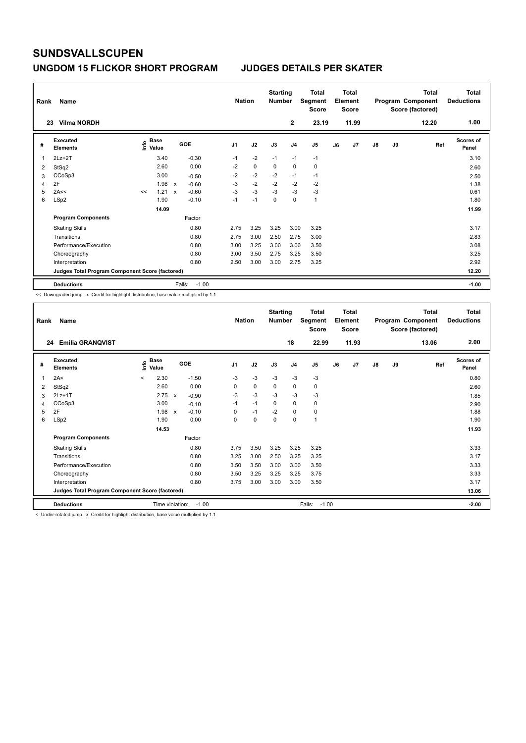## **UNGDOM 15 FLICKOR SHORT PROGRAM JUDGES DETAILS PER SKATER**

| Rank<br>23 | Name<br><b>Vilma NORDH</b>                      |                                  |                           |         | <b>Nation</b>  |           | <b>Starting</b><br><b>Number</b> | $\mathbf{2}$   | <b>Total</b><br>Segment<br>Score<br>23.19 |    | Total<br>Element<br><b>Score</b><br>11.99 |    |    | <b>Total</b><br>Program Component<br>Score (factored)<br>12.20 | Total<br><b>Deductions</b><br>1.00 |
|------------|-------------------------------------------------|----------------------------------|---------------------------|---------|----------------|-----------|----------------------------------|----------------|-------------------------------------------|----|-------------------------------------------|----|----|----------------------------------------------------------------|------------------------------------|
|            |                                                 |                                  |                           |         |                |           |                                  |                |                                           |    |                                           |    |    |                                                                |                                    |
| #          | Executed<br><b>Elements</b>                     | <b>Base</b><br>e Base<br>⊆ Value | GOE                       |         | J <sub>1</sub> | J2        | J3                               | J <sub>4</sub> | J5                                        | J6 | J7                                        | J8 | J9 | Ref                                                            | Scores of<br>Panel                 |
| 1          | $2Lz+2T$                                        | 3.40                             |                           | $-0.30$ | $-1$           | $-2$      | $-1$                             | $-1$           | $-1$                                      |    |                                           |    |    |                                                                | 3.10                               |
| 2          | StSq2                                           | 2.60                             |                           | 0.00    | $-2$           | $\pmb{0}$ | 0                                | $\pmb{0}$      | $\pmb{0}$                                 |    |                                           |    |    |                                                                | 2.60                               |
| 3          | CCoSp3                                          | 3.00                             |                           | $-0.50$ | $-2$           | $-2$      | $-2$                             | $-1$           | $-1$                                      |    |                                           |    |    |                                                                | 2.50                               |
| 4          | 2F                                              | 1.98                             | $\mathsf{x}$              | $-0.60$ | $-3$           | $-2$      | $-2$                             | $-2$           | $-2$                                      |    |                                           |    |    |                                                                | 1.38                               |
| 5          | 2A<<                                            | 1.21<br><<                       | $\boldsymbol{\mathsf{x}}$ | $-0.60$ | $-3$           | $-3$      | $-3$                             | $-3$           | $-3$                                      |    |                                           |    |    |                                                                | 0.61                               |
| 6          | LSp2                                            | 1.90                             |                           | $-0.10$ | $-1$           | $-1$      | $\mathbf 0$                      | $\mathbf 0$    | $\mathbf{1}$                              |    |                                           |    |    |                                                                | 1.80                               |
|            |                                                 | 14.09                            |                           |         |                |           |                                  |                |                                           |    |                                           |    |    |                                                                | 11.99                              |
|            | <b>Program Components</b>                       |                                  |                           | Factor  |                |           |                                  |                |                                           |    |                                           |    |    |                                                                |                                    |
|            | <b>Skating Skills</b>                           |                                  |                           | 0.80    | 2.75           | 3.25      | 3.25                             | 3.00           | 3.25                                      |    |                                           |    |    |                                                                | 3.17                               |
|            | Transitions                                     |                                  |                           | 0.80    | 2.75           | 3.00      | 2.50                             | 2.75           | 3.00                                      |    |                                           |    |    |                                                                | 2.83                               |
|            | Performance/Execution                           |                                  |                           | 0.80    | 3.00           | 3.25      | 3.00                             | 3.00           | 3.50                                      |    |                                           |    |    |                                                                | 3.08                               |
|            | Choreography                                    |                                  |                           | 0.80    | 3.00           | 3.50      | 2.75                             | 3.25           | 3.50                                      |    |                                           |    |    |                                                                | 3.25                               |
|            | Interpretation                                  |                                  |                           | 0.80    | 2.50           | 3.00      | 3.00                             | 2.75           | 3.25                                      |    |                                           |    |    |                                                                | 2.92                               |
|            | Judges Total Program Component Score (factored) |                                  |                           |         |                |           |                                  |                |                                           |    |                                           |    |    |                                                                | 12.20                              |
|            | <b>Deductions</b>                               |                                  | Falls:                    | $-1.00$ |                |           |                                  |                |                                           |    |                                           |    |    |                                                                | $-1.00$                            |

<< Downgraded jump x Credit for highlight distribution, base value multiplied by 1.1

| Rank | Name                                            |                            |                            | <b>Nation</b>  |      | <b>Starting</b><br><b>Number</b> |                | <b>Total</b><br>Segment<br><b>Score</b> |    | <b>Total</b><br>Element<br><b>Score</b> |               |    | <b>Total</b><br>Program Component<br>Score (factored) | <b>Total</b><br><b>Deductions</b> |
|------|-------------------------------------------------|----------------------------|----------------------------|----------------|------|----------------------------------|----------------|-----------------------------------------|----|-----------------------------------------|---------------|----|-------------------------------------------------------|-----------------------------------|
| 24   | <b>Emilia GRANOVIST</b>                         |                            |                            |                |      |                                  | 18             | 22.99                                   |    | 11.93                                   |               |    | 13.06                                                 | 2.00                              |
| #    | <b>Executed</b><br><b>Elements</b>              | <b>Base</b><br>١m<br>Value | <b>GOE</b>                 | J <sub>1</sub> | J2   | J3                               | J <sub>4</sub> | J <sub>5</sub>                          | J6 | J <sub>7</sub>                          | $\mathsf{J}8$ | J9 | Ref                                                   | <b>Scores of</b><br>Panel         |
| 1    | 2A<                                             | 2.30<br>$\prec$            | $-1.50$                    | $-3$           | $-3$ | $-3$                             | $-3$           | $-3$                                    |    |                                         |               |    |                                                       | 0.80                              |
| 2    | StSq2                                           | 2.60                       | 0.00                       | 0              | 0    | 0                                | 0              | 0                                       |    |                                         |               |    |                                                       | 2.60                              |
| 3    | $2Lz+1T$                                        | 2.75                       | $-0.90$<br>$\mathsf{x}$    | -3             | $-3$ | $-3$                             | $-3$           | $-3$                                    |    |                                         |               |    |                                                       | 1.85                              |
| 4    | CCoSp3                                          | 3.00                       | $-0.10$                    | $-1$           | $-1$ | $\Omega$                         | $\mathbf 0$    | 0                                       |    |                                         |               |    |                                                       | 2.90                              |
| 5    | 2F                                              | 1.98                       | $-0.10$<br>$\mathsf{x}$    | $\Omega$       | $-1$ | $-2$                             | $\mathbf 0$    | 0                                       |    |                                         |               |    |                                                       | 1.88                              |
| 6    | LSp2                                            | 1.90                       | 0.00                       | 0              | 0    | 0                                | $\mathbf 0$    | 1                                       |    |                                         |               |    |                                                       | 1.90                              |
|      |                                                 | 14.53                      |                            |                |      |                                  |                |                                         |    |                                         |               |    |                                                       | 11.93                             |
|      | <b>Program Components</b>                       |                            | Factor                     |                |      |                                  |                |                                         |    |                                         |               |    |                                                       |                                   |
|      | <b>Skating Skills</b>                           |                            | 0.80                       | 3.75           | 3.50 | 3.25                             | 3.25           | 3.25                                    |    |                                         |               |    |                                                       | 3.33                              |
|      | Transitions                                     |                            | 0.80                       | 3.25           | 3.00 | 2.50                             | 3.25           | 3.25                                    |    |                                         |               |    |                                                       | 3.17                              |
|      | Performance/Execution                           |                            | 0.80                       | 3.50           | 3.50 | 3.00                             | 3.00           | 3.50                                    |    |                                         |               |    |                                                       | 3.33                              |
|      | Choreography                                    |                            | 0.80                       | 3.50           | 3.25 | 3.25                             | 3.25           | 3.75                                    |    |                                         |               |    |                                                       | 3.33                              |
|      | Interpretation                                  |                            | 0.80                       | 3.75           | 3.00 | 3.00                             | 3.00           | 3.50                                    |    |                                         |               |    |                                                       | 3.17                              |
|      | Judges Total Program Component Score (factored) |                            |                            |                |      |                                  |                |                                         |    |                                         |               |    |                                                       | 13.06                             |
|      | <b>Deductions</b>                               |                            | Time violation:<br>$-1.00$ |                |      |                                  |                | $-1.00$<br>Falls:                       |    |                                         |               |    |                                                       | $-2.00$                           |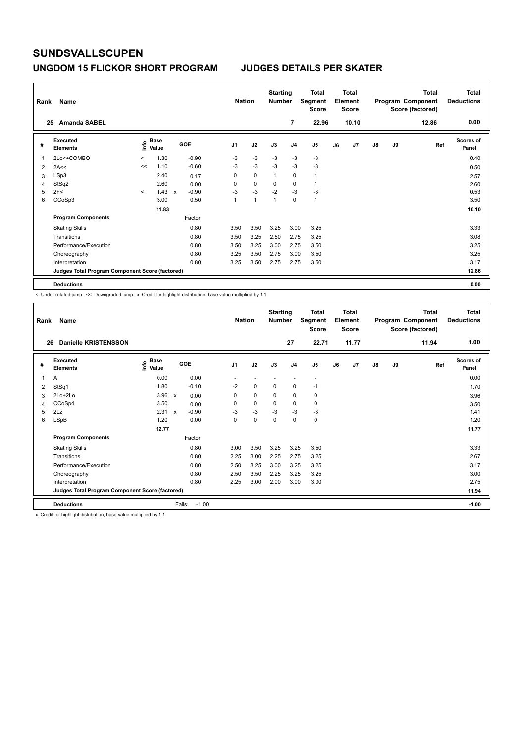## **UNGDOM 15 FLICKOR SHORT PROGRAM JUDGES DETAILS PER SKATER**

| Rank<br>Name |                                                 |                          |                      |              |         |                | <b>Nation</b> |              | <b>Starting</b><br><b>Number</b> | Total<br>Segment<br>Score | <b>Total</b><br>Element<br><b>Score</b> |       |    |    | <b>Total</b><br>Program Component<br>Score (factored) | <b>Total</b><br><b>Deductions</b> |
|--------------|-------------------------------------------------|--------------------------|----------------------|--------------|---------|----------------|---------------|--------------|----------------------------------|---------------------------|-----------------------------------------|-------|----|----|-------------------------------------------------------|-----------------------------------|
|              | <b>Amanda SABEL</b><br>25                       |                          |                      |              |         |                |               |              | 7                                | 22.96                     |                                         | 10.10 |    |    | 12.86                                                 | 0.00                              |
| #            | Executed<br><b>Elements</b>                     | lnfo                     | <b>Base</b><br>Value |              | GOE     | J <sub>1</sub> | J2            | J3           | J <sub>4</sub>                   | J5                        | J6                                      | J7    | J8 | J9 | Ref                                                   | <b>Scores of</b><br>Panel         |
| 1            | 2Lo<+COMBO                                      | $\overline{\phantom{a}}$ | 1.30                 |              | $-0.90$ | $-3$           | $-3$          | $-3$         | $-3$                             | $-3$                      |                                         |       |    |    |                                                       | 0.40                              |
| 2            | 2A<<                                            | <<                       | 1.10                 |              | $-0.60$ | $-3$           | $-3$          | $-3$         | $-3$                             | $-3$                      |                                         |       |    |    |                                                       | 0.50                              |
| 3            | LSp3                                            |                          | 2.40                 |              | 0.17    | 0              | $\mathbf 0$   | $\mathbf{1}$ | $\mathbf 0$                      | $\mathbf{1}$              |                                         |       |    |    |                                                       | 2.57                              |
| 4            | StSq2                                           |                          | 2.60                 |              | 0.00    | 0              | $\mathbf 0$   | 0            | 0                                | $\mathbf{1}$              |                                         |       |    |    |                                                       | 2.60                              |
| 5            | 2F<                                             | $\prec$                  | 1.43                 | $\mathsf{x}$ | $-0.90$ | $-3$           | $-3$          | $-2$         | $-3$                             | $-3$                      |                                         |       |    |    |                                                       | 0.53                              |
| 6            | CCoSp3                                          |                          | 3.00                 |              | 0.50    | 1              | 1             | 1            | 0                                | $\mathbf{1}$              |                                         |       |    |    |                                                       | 3.50                              |
|              |                                                 |                          | 11.83                |              |         |                |               |              |                                  |                           |                                         |       |    |    |                                                       | 10.10                             |
|              | <b>Program Components</b>                       |                          |                      |              | Factor  |                |               |              |                                  |                           |                                         |       |    |    |                                                       |                                   |
|              | <b>Skating Skills</b>                           |                          |                      |              | 0.80    | 3.50           | 3.50          | 3.25         | 3.00                             | 3.25                      |                                         |       |    |    |                                                       | 3.33                              |
|              | Transitions                                     |                          |                      |              | 0.80    | 3.50           | 3.25          | 2.50         | 2.75                             | 3.25                      |                                         |       |    |    |                                                       | 3.08                              |
|              | Performance/Execution                           |                          |                      |              | 0.80    | 3.50           | 3.25          | 3.00         | 2.75                             | 3.50                      |                                         |       |    |    |                                                       | 3.25                              |
|              | Choreography                                    |                          |                      |              | 0.80    | 3.25           | 3.50          | 2.75         | 3.00                             | 3.50                      |                                         |       |    |    |                                                       | 3.25                              |
|              | Interpretation                                  |                          |                      |              | 0.80    | 3.25           | 3.50          | 2.75         | 2.75                             | 3.50                      |                                         |       |    |    |                                                       | 3.17                              |
|              | Judges Total Program Component Score (factored) |                          |                      |              |         |                |               |              |                                  |                           |                                         |       |    |    |                                                       | 12.86                             |
|              | <b>Deductions</b>                               |                          |                      |              |         |                |               |              |                                  |                           |                                         |       |    |    |                                                       | 0.00                              |

< Under-rotated jump << Downgraded jump x Credit for highlight distribution, base value multiplied by 1.1

| Rank | Name                                            |                       |                         | <b>Nation</b>  |      | <b>Starting</b><br><b>Number</b> |                          | <b>Total</b><br>Segment<br><b>Score</b> |    | <b>Total</b><br>Element<br><b>Score</b> |    |    | <b>Total</b><br>Program Component<br>Score (factored) | Total<br><b>Deductions</b> |
|------|-------------------------------------------------|-----------------------|-------------------------|----------------|------|----------------------------------|--------------------------|-----------------------------------------|----|-----------------------------------------|----|----|-------------------------------------------------------|----------------------------|
| 26   | <b>Danielle KRISTENSSON</b>                     |                       |                         |                |      |                                  | 27                       | 22.71                                   |    | 11.77                                   |    |    | 11.94                                                 | 1.00                       |
| #    | Executed<br><b>Elements</b>                     | $\sum_{i=1}^{n}$ Base | <b>GOE</b>              | J <sub>1</sub> | J2   | J3                               | J <sub>4</sub>           | J <sub>5</sub>                          | J6 | J7                                      | J8 | J9 | Ref                                                   | <b>Scores of</b><br>Panel  |
| 1    | A                                               | 0.00                  | 0.00                    |                |      |                                  | $\overline{\phantom{a}}$ | $\overline{\phantom{a}}$                |    |                                         |    |    |                                                       | 0.00                       |
| 2    | StSq1                                           | 1.80                  | $-0.10$                 | $-2$           | 0    | $\mathbf 0$                      | 0                        | $-1$                                    |    |                                         |    |    |                                                       | 1.70                       |
| 3    | 2Lo+2Lo                                         | 3.96                  | $\mathsf{x}$<br>0.00    | 0              | 0    | $\mathbf 0$                      | $\mathbf 0$              | 0                                       |    |                                         |    |    |                                                       | 3.96                       |
| 4    | CCoSp4                                          | 3.50                  | 0.00                    | 0              | 0    | $\mathbf 0$                      | $\mathbf 0$              | 0                                       |    |                                         |    |    |                                                       | 3.50                       |
| 5    | 2Lz                                             | 2.31                  | $-0.90$<br>$\mathsf{x}$ | $-3$           | $-3$ | $-3$                             | $-3$                     | $-3$                                    |    |                                         |    |    |                                                       | 1.41                       |
| 6    | LSpB                                            | 1.20                  | 0.00                    | 0              | 0    | $\mathbf 0$                      | $\mathbf 0$              | 0                                       |    |                                         |    |    |                                                       | 1.20                       |
|      |                                                 | 12.77                 |                         |                |      |                                  |                          |                                         |    |                                         |    |    |                                                       | 11.77                      |
|      | <b>Program Components</b>                       |                       | Factor                  |                |      |                                  |                          |                                         |    |                                         |    |    |                                                       |                            |
|      | <b>Skating Skills</b>                           |                       | 0.80                    | 3.00           | 3.50 | 3.25                             | 3.25                     | 3.50                                    |    |                                         |    |    |                                                       | 3.33                       |
|      | Transitions                                     |                       | 0.80                    | 2.25           | 3.00 | 2.25                             | 2.75                     | 3.25                                    |    |                                         |    |    |                                                       | 2.67                       |
|      | Performance/Execution                           |                       | 0.80                    | 2.50           | 3.25 | 3.00                             | 3.25                     | 3.25                                    |    |                                         |    |    |                                                       | 3.17                       |
|      | Choreography                                    |                       | 0.80                    | 2.50           | 3.50 | 2.25                             | 3.25                     | 3.25                                    |    |                                         |    |    |                                                       | 3.00                       |
|      | Interpretation                                  |                       | 0.80                    | 2.25           | 3.00 | 2.00                             | 3.00                     | 3.00                                    |    |                                         |    |    |                                                       | 2.75                       |
|      | Judges Total Program Component Score (factored) |                       |                         |                |      |                                  |                          |                                         |    |                                         |    |    |                                                       | 11.94                      |
|      | <b>Deductions</b>                               |                       | $-1.00$<br>Falls:       |                |      |                                  |                          |                                         |    |                                         |    |    |                                                       | $-1.00$                    |